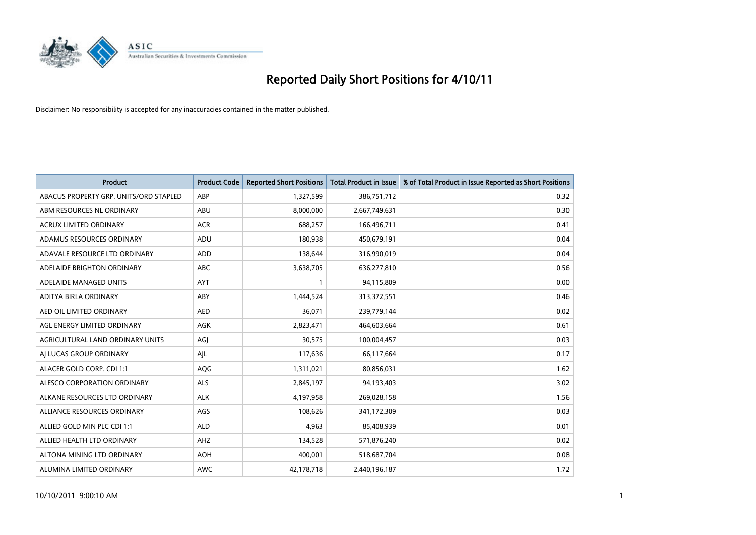

| <b>Product</b>                         | <b>Product Code</b> | <b>Reported Short Positions</b> | <b>Total Product in Issue</b> | % of Total Product in Issue Reported as Short Positions |
|----------------------------------------|---------------------|---------------------------------|-------------------------------|---------------------------------------------------------|
| ABACUS PROPERTY GRP. UNITS/ORD STAPLED | ABP                 | 1,327,599                       | 386,751,712                   | 0.32                                                    |
| ABM RESOURCES NL ORDINARY              | ABU                 | 8,000,000                       | 2,667,749,631                 | 0.30                                                    |
| <b>ACRUX LIMITED ORDINARY</b>          | <b>ACR</b>          | 688,257                         | 166,496,711                   | 0.41                                                    |
| ADAMUS RESOURCES ORDINARY              | ADU                 | 180,938                         | 450,679,191                   | 0.04                                                    |
| ADAVALE RESOURCE LTD ORDINARY          | ADD                 | 138,644                         | 316,990,019                   | 0.04                                                    |
| ADELAIDE BRIGHTON ORDINARY             | <b>ABC</b>          | 3,638,705                       | 636,277,810                   | 0.56                                                    |
| ADELAIDE MANAGED UNITS                 | <b>AYT</b>          |                                 | 94,115,809                    | 0.00                                                    |
| ADITYA BIRLA ORDINARY                  | ABY                 | 1,444,524                       | 313,372,551                   | 0.46                                                    |
| AED OIL LIMITED ORDINARY               | <b>AED</b>          | 36,071                          | 239,779,144                   | 0.02                                                    |
| AGL ENERGY LIMITED ORDINARY            | <b>AGK</b>          | 2,823,471                       | 464,603,664                   | 0.61                                                    |
| AGRICULTURAL LAND ORDINARY UNITS       | AGJ                 | 30,575                          | 100,004,457                   | 0.03                                                    |
| AI LUCAS GROUP ORDINARY                | AJL                 | 117,636                         | 66,117,664                    | 0.17                                                    |
| ALACER GOLD CORP. CDI 1:1              | AQG                 | 1,311,021                       | 80,856,031                    | 1.62                                                    |
| ALESCO CORPORATION ORDINARY            | <b>ALS</b>          | 2,845,197                       | 94,193,403                    | 3.02                                                    |
| ALKANE RESOURCES LTD ORDINARY          | <b>ALK</b>          | 4,197,958                       | 269,028,158                   | 1.56                                                    |
| ALLIANCE RESOURCES ORDINARY            | AGS                 | 108,626                         | 341,172,309                   | 0.03                                                    |
| ALLIED GOLD MIN PLC CDI 1:1            | <b>ALD</b>          | 4,963                           | 85,408,939                    | 0.01                                                    |
| ALLIED HEALTH LTD ORDINARY             | <b>AHZ</b>          | 134,528                         | 571,876,240                   | 0.02                                                    |
| ALTONA MINING LTD ORDINARY             | <b>AOH</b>          | 400,001                         | 518,687,704                   | 0.08                                                    |
| ALUMINA LIMITED ORDINARY               | <b>AWC</b>          | 42,178,718                      | 2,440,196,187                 | 1.72                                                    |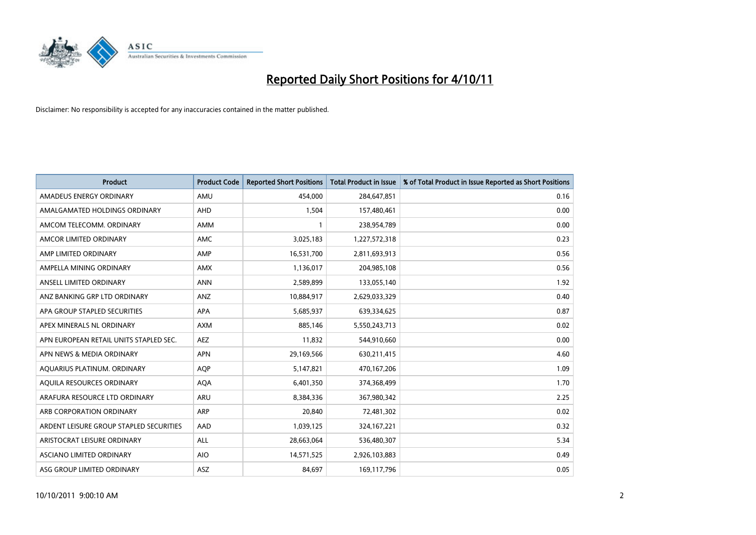

| <b>Product</b>                          | <b>Product Code</b> | <b>Reported Short Positions</b> | <b>Total Product in Issue</b> | % of Total Product in Issue Reported as Short Positions |
|-----------------------------------------|---------------------|---------------------------------|-------------------------------|---------------------------------------------------------|
| AMADEUS ENERGY ORDINARY                 | AMU                 | 454,000                         | 284,647,851                   | 0.16                                                    |
| AMALGAMATED HOLDINGS ORDINARY           | <b>AHD</b>          | 1,504                           | 157,480,461                   | 0.00                                                    |
| AMCOM TELECOMM, ORDINARY                | <b>AMM</b>          |                                 | 238,954,789                   | 0.00                                                    |
| AMCOR LIMITED ORDINARY                  | <b>AMC</b>          | 3,025,183                       | 1,227,572,318                 | 0.23                                                    |
| AMP LIMITED ORDINARY                    | AMP                 | 16,531,700                      | 2,811,693,913                 | 0.56                                                    |
| AMPELLA MINING ORDINARY                 | <b>AMX</b>          | 1,136,017                       | 204,985,108                   | 0.56                                                    |
| ANSELL LIMITED ORDINARY                 | <b>ANN</b>          | 2,589,899                       | 133,055,140                   | 1.92                                                    |
| ANZ BANKING GRP LTD ORDINARY            | ANZ                 | 10,884,917                      | 2,629,033,329                 | 0.40                                                    |
| APA GROUP STAPLED SECURITIES            | APA                 | 5,685,937                       | 639,334,625                   | 0.87                                                    |
| APEX MINERALS NL ORDINARY               | <b>AXM</b>          | 885,146                         | 5,550,243,713                 | 0.02                                                    |
| APN EUROPEAN RETAIL UNITS STAPLED SEC.  | <b>AEZ</b>          | 11,832                          | 544,910,660                   | 0.00                                                    |
| APN NEWS & MEDIA ORDINARY               | <b>APN</b>          | 29,169,566                      | 630,211,415                   | 4.60                                                    |
| AQUARIUS PLATINUM. ORDINARY             | <b>AQP</b>          | 5,147,821                       | 470,167,206                   | 1.09                                                    |
| AQUILA RESOURCES ORDINARY               | <b>AQA</b>          | 6,401,350                       | 374,368,499                   | 1.70                                                    |
| ARAFURA RESOURCE LTD ORDINARY           | <b>ARU</b>          | 8,384,336                       | 367,980,342                   | 2.25                                                    |
| ARB CORPORATION ORDINARY                | <b>ARP</b>          | 20,840                          | 72,481,302                    | 0.02                                                    |
| ARDENT LEISURE GROUP STAPLED SECURITIES | AAD                 | 1,039,125                       | 324, 167, 221                 | 0.32                                                    |
| ARISTOCRAT LEISURE ORDINARY             | <b>ALL</b>          | 28,663,064                      | 536,480,307                   | 5.34                                                    |
| ASCIANO LIMITED ORDINARY                | <b>AIO</b>          | 14,571,525                      | 2,926,103,883                 | 0.49                                                    |
| ASG GROUP LIMITED ORDINARY              | <b>ASZ</b>          | 84.697                          | 169,117,796                   | 0.05                                                    |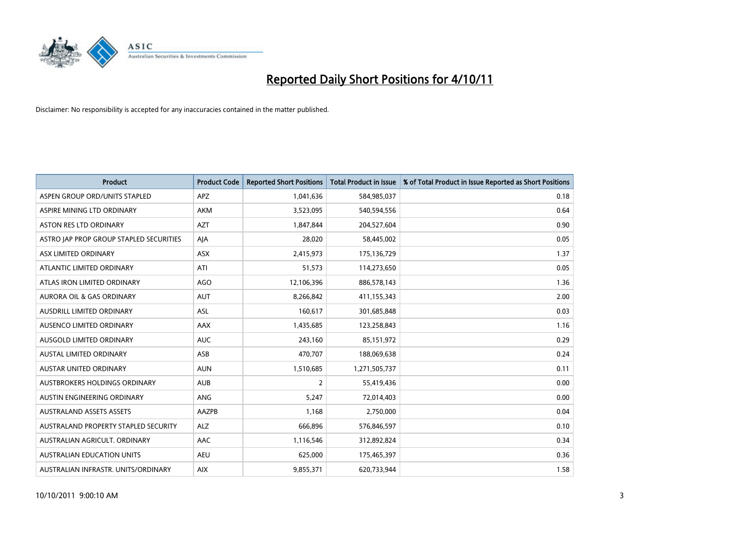

| <b>Product</b>                          | <b>Product Code</b> | <b>Reported Short Positions</b> | <b>Total Product in Issue</b> | % of Total Product in Issue Reported as Short Positions |
|-----------------------------------------|---------------------|---------------------------------|-------------------------------|---------------------------------------------------------|
| ASPEN GROUP ORD/UNITS STAPLED           | <b>APZ</b>          | 1,041,636                       | 584,985,037                   | 0.18                                                    |
| ASPIRE MINING LTD ORDINARY              | <b>AKM</b>          | 3,523,095                       | 540,594,556                   | 0.64                                                    |
| <b>ASTON RES LTD ORDINARY</b>           | <b>AZT</b>          | 1,847,844                       | 204,527,604                   | 0.90                                                    |
| ASTRO JAP PROP GROUP STAPLED SECURITIES | AJA                 | 28,020                          | 58,445,002                    | 0.05                                                    |
| ASX LIMITED ORDINARY                    | <b>ASX</b>          | 2,415,973                       | 175,136,729                   | 1.37                                                    |
| ATLANTIC LIMITED ORDINARY               | ATI                 | 51,573                          | 114,273,650                   | 0.05                                                    |
| ATLAS IRON LIMITED ORDINARY             | <b>AGO</b>          | 12,106,396                      | 886,578,143                   | 1.36                                                    |
| <b>AURORA OIL &amp; GAS ORDINARY</b>    | <b>AUT</b>          | 8,266,842                       | 411,155,343                   | 2.00                                                    |
| AUSDRILL LIMITED ORDINARY               | ASL                 | 160,617                         | 301,685,848                   | 0.03                                                    |
| AUSENCO LIMITED ORDINARY                | AAX                 | 1,435,685                       | 123,258,843                   | 1.16                                                    |
| <b>AUSGOLD LIMITED ORDINARY</b>         | <b>AUC</b>          | 243,160                         | 85,151,972                    | 0.29                                                    |
| AUSTAL LIMITED ORDINARY                 | ASB                 | 470,707                         | 188,069,638                   | 0.24                                                    |
| <b>AUSTAR UNITED ORDINARY</b>           | <b>AUN</b>          | 1,510,685                       | 1,271,505,737                 | 0.11                                                    |
| <b>AUSTBROKERS HOLDINGS ORDINARY</b>    | <b>AUB</b>          | 2                               | 55,419,436                    | 0.00                                                    |
| <b>AUSTIN ENGINEERING ORDINARY</b>      | <b>ANG</b>          | 5,247                           | 72,014,403                    | 0.00                                                    |
| <b>AUSTRALAND ASSETS ASSETS</b>         | <b>AAZPB</b>        | 1.168                           | 2,750,000                     | 0.04                                                    |
| AUSTRALAND PROPERTY STAPLED SECURITY    | <b>ALZ</b>          | 666,896                         | 576,846,597                   | 0.10                                                    |
| AUSTRALIAN AGRICULT. ORDINARY           | AAC                 | 1,116,546                       | 312,892,824                   | 0.34                                                    |
| <b>AUSTRALIAN EDUCATION UNITS</b>       | <b>AEU</b>          | 625,000                         | 175,465,397                   | 0.36                                                    |
| AUSTRALIAN INFRASTR. UNITS/ORDINARY     | <b>AIX</b>          | 9,855,371                       | 620,733,944                   | 1.58                                                    |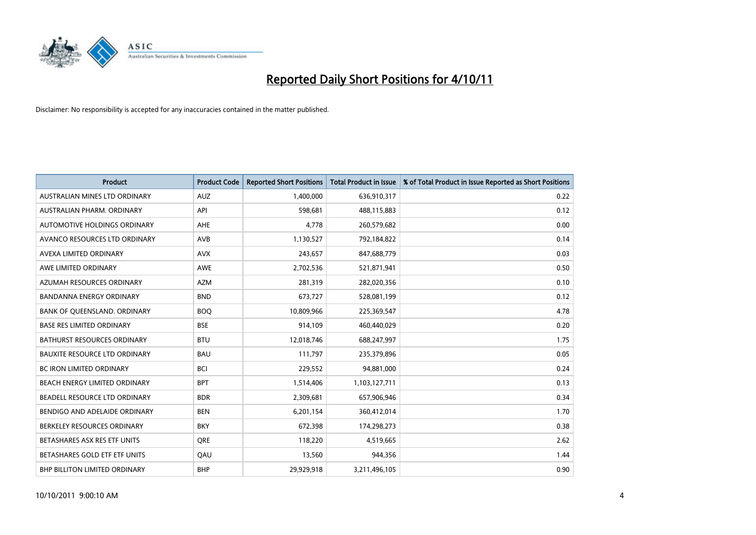

| <b>Product</b>                       | <b>Product Code</b> | <b>Reported Short Positions</b> | <b>Total Product in Issue</b> | % of Total Product in Issue Reported as Short Positions |
|--------------------------------------|---------------------|---------------------------------|-------------------------------|---------------------------------------------------------|
| AUSTRALIAN MINES LTD ORDINARY        | <b>AUZ</b>          | 1,400,000                       | 636,910,317                   | 0.22                                                    |
| AUSTRALIAN PHARM, ORDINARY           | API                 | 598,681                         | 488,115,883                   | 0.12                                                    |
| <b>AUTOMOTIVE HOLDINGS ORDINARY</b>  | AHE                 | 4,778                           | 260,579,682                   | 0.00                                                    |
| AVANCO RESOURCES LTD ORDINARY        | <b>AVB</b>          | 1,130,527                       | 792,184,822                   | 0.14                                                    |
| AVEXA LIMITED ORDINARY               | <b>AVX</b>          | 243.657                         | 847,688,779                   | 0.03                                                    |
| AWE LIMITED ORDINARY                 | AWE                 | 2,702,536                       | 521,871,941                   | 0.50                                                    |
| AZUMAH RESOURCES ORDINARY            | <b>AZM</b>          | 281.319                         | 282,020,356                   | 0.10                                                    |
| <b>BANDANNA ENERGY ORDINARY</b>      | <b>BND</b>          | 673,727                         | 528,081,199                   | 0.12                                                    |
| BANK OF QUEENSLAND. ORDINARY         | <b>BOO</b>          | 10,809,966                      | 225,369,547                   | 4.78                                                    |
| <b>BASE RES LIMITED ORDINARY</b>     | <b>BSE</b>          | 914,109                         | 460,440,029                   | 0.20                                                    |
| <b>BATHURST RESOURCES ORDINARY</b>   | <b>BTU</b>          | 12,018,746                      | 688,247,997                   | 1.75                                                    |
| <b>BAUXITE RESOURCE LTD ORDINARY</b> | <b>BAU</b>          | 111,797                         | 235,379,896                   | 0.05                                                    |
| <b>BC IRON LIMITED ORDINARY</b>      | <b>BCI</b>          | 229,552                         | 94,881,000                    | 0.24                                                    |
| <b>BEACH ENERGY LIMITED ORDINARY</b> | <b>BPT</b>          | 1,514,406                       | 1,103,127,711                 | 0.13                                                    |
| BEADELL RESOURCE LTD ORDINARY        | <b>BDR</b>          | 2,309,681                       | 657,906,946                   | 0.34                                                    |
| BENDIGO AND ADELAIDE ORDINARY        | <b>BEN</b>          | 6,201,154                       | 360,412,014                   | 1.70                                                    |
| BERKELEY RESOURCES ORDINARY          | <b>BKY</b>          | 672,398                         | 174,298,273                   | 0.38                                                    |
| BETASHARES ASX RES ETF UNITS         | <b>ORE</b>          | 118,220                         | 4,519,665                     | 2.62                                                    |
| BETASHARES GOLD ETF ETF UNITS        | QAU                 | 13,560                          | 944,356                       | 1.44                                                    |
| <b>BHP BILLITON LIMITED ORDINARY</b> | <b>BHP</b>          | 29,929,918                      | 3,211,496,105                 | 0.90                                                    |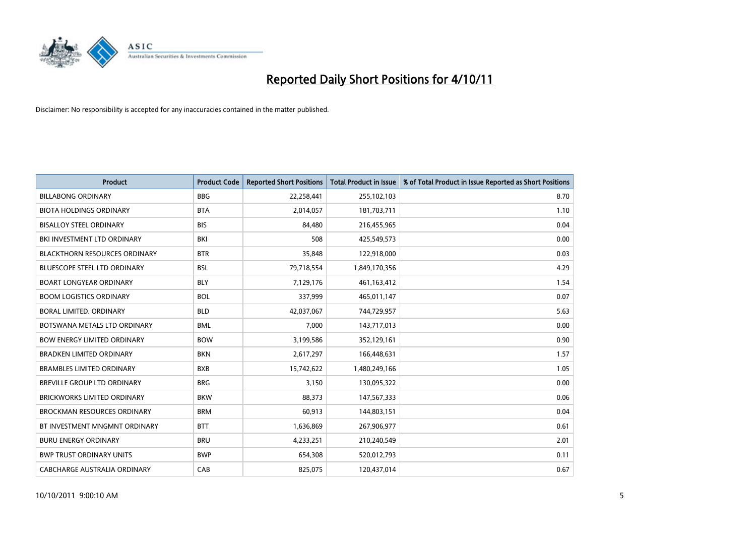

| <b>Product</b>                       | <b>Product Code</b> | <b>Reported Short Positions</b> | <b>Total Product in Issue</b> | % of Total Product in Issue Reported as Short Positions |
|--------------------------------------|---------------------|---------------------------------|-------------------------------|---------------------------------------------------------|
| <b>BILLABONG ORDINARY</b>            | <b>BBG</b>          | 22,258,441                      | 255,102,103                   | 8.70                                                    |
| <b>BIOTA HOLDINGS ORDINARY</b>       | <b>BTA</b>          | 2,014,057                       | 181,703,711                   | 1.10                                                    |
| <b>BISALLOY STEEL ORDINARY</b>       | <b>BIS</b>          | 84,480                          | 216,455,965                   | 0.04                                                    |
| BKI INVESTMENT LTD ORDINARY          | BKI                 | 508                             | 425,549,573                   | 0.00                                                    |
| <b>BLACKTHORN RESOURCES ORDINARY</b> | <b>BTR</b>          | 35,848                          | 122,918,000                   | 0.03                                                    |
| <b>BLUESCOPE STEEL LTD ORDINARY</b>  | <b>BSL</b>          | 79,718,554                      | 1,849,170,356                 | 4.29                                                    |
| <b>BOART LONGYEAR ORDINARY</b>       | <b>BLY</b>          | 7,129,176                       | 461,163,412                   | 1.54                                                    |
| <b>BOOM LOGISTICS ORDINARY</b>       | <b>BOL</b>          | 337,999                         | 465,011,147                   | 0.07                                                    |
| BORAL LIMITED. ORDINARY              | <b>BLD</b>          | 42,037,067                      | 744,729,957                   | 5.63                                                    |
| BOTSWANA METALS LTD ORDINARY         | <b>BML</b>          | 7.000                           | 143,717,013                   | 0.00                                                    |
| <b>BOW ENERGY LIMITED ORDINARY</b>   | <b>BOW</b>          | 3,199,586                       | 352,129,161                   | 0.90                                                    |
| <b>BRADKEN LIMITED ORDINARY</b>      | <b>BKN</b>          | 2,617,297                       | 166,448,631                   | 1.57                                                    |
| <b>BRAMBLES LIMITED ORDINARY</b>     | <b>BXB</b>          | 15,742,622                      | 1,480,249,166                 | 1.05                                                    |
| <b>BREVILLE GROUP LTD ORDINARY</b>   | <b>BRG</b>          | 3,150                           | 130,095,322                   | 0.00                                                    |
| <b>BRICKWORKS LIMITED ORDINARY</b>   | <b>BKW</b>          | 88,373                          | 147,567,333                   | 0.06                                                    |
| <b>BROCKMAN RESOURCES ORDINARY</b>   | <b>BRM</b>          | 60,913                          | 144,803,151                   | 0.04                                                    |
| BT INVESTMENT MNGMNT ORDINARY        | <b>BTT</b>          | 1,636,869                       | 267,906,977                   | 0.61                                                    |
| <b>BURU ENERGY ORDINARY</b>          | <b>BRU</b>          | 4,233,251                       | 210,240,549                   | 2.01                                                    |
| <b>BWP TRUST ORDINARY UNITS</b>      | <b>BWP</b>          | 654,308                         | 520,012,793                   | 0.11                                                    |
| CABCHARGE AUSTRALIA ORDINARY         | CAB                 | 825.075                         | 120.437.014                   | 0.67                                                    |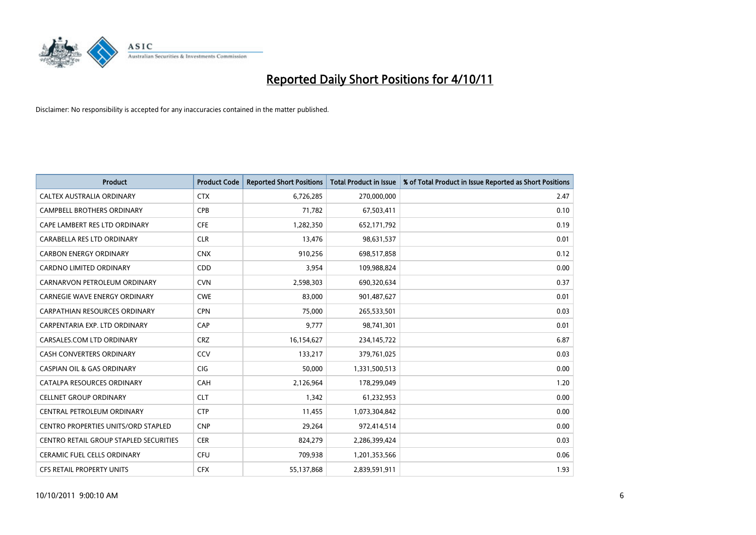

| <b>Product</b>                             | <b>Product Code</b> | <b>Reported Short Positions</b> | <b>Total Product in Issue</b> | % of Total Product in Issue Reported as Short Positions |
|--------------------------------------------|---------------------|---------------------------------|-------------------------------|---------------------------------------------------------|
| CALTEX AUSTRALIA ORDINARY                  | <b>CTX</b>          | 6,726,285                       | 270,000,000                   | 2.47                                                    |
| CAMPBELL BROTHERS ORDINARY                 | <b>CPB</b>          | 71,782                          | 67,503,411                    | 0.10                                                    |
| CAPE LAMBERT RES LTD ORDINARY              | <b>CFE</b>          | 1,282,350                       | 652,171,792                   | 0.19                                                    |
| CARABELLA RES LTD ORDINARY                 | <b>CLR</b>          | 13,476                          | 98,631,537                    | 0.01                                                    |
| <b>CARBON ENERGY ORDINARY</b>              | <b>CNX</b>          | 910,256                         | 698,517,858                   | 0.12                                                    |
| <b>CARDNO LIMITED ORDINARY</b>             | CDD                 | 3,954                           | 109,988,824                   | 0.00                                                    |
| CARNARVON PETROLEUM ORDINARY               | <b>CVN</b>          | 2,598,303                       | 690,320,634                   | 0.37                                                    |
| <b>CARNEGIE WAVE ENERGY ORDINARY</b>       | <b>CWE</b>          | 83,000                          | 901,487,627                   | 0.01                                                    |
| CARPATHIAN RESOURCES ORDINARY              | <b>CPN</b>          | 75,000                          | 265,533,501                   | 0.03                                                    |
| CARPENTARIA EXP. LTD ORDINARY              | CAP                 | 9,777                           | 98,741,301                    | 0.01                                                    |
| CARSALES.COM LTD ORDINARY                  | <b>CRZ</b>          | 16,154,627                      | 234,145,722                   | 6.87                                                    |
| <b>CASH CONVERTERS ORDINARY</b>            | CCV                 | 133,217                         | 379,761,025                   | 0.03                                                    |
| <b>CASPIAN OIL &amp; GAS ORDINARY</b>      | <b>CIG</b>          | 50,000                          | 1,331,500,513                 | 0.00                                                    |
| CATALPA RESOURCES ORDINARY                 | CAH                 | 2,126,964                       | 178,299,049                   | 1.20                                                    |
| <b>CELLNET GROUP ORDINARY</b>              | <b>CLT</b>          | 1,342                           | 61,232,953                    | 0.00                                                    |
| CENTRAL PETROLEUM ORDINARY                 | <b>CTP</b>          | 11,455                          | 1,073,304,842                 | 0.00                                                    |
| <b>CENTRO PROPERTIES UNITS/ORD STAPLED</b> | <b>CNP</b>          | 29,264                          | 972,414,514                   | 0.00                                                    |
| CENTRO RETAIL GROUP STAPLED SECURITIES     | <b>CER</b>          | 824,279                         | 2,286,399,424                 | 0.03                                                    |
| <b>CERAMIC FUEL CELLS ORDINARY</b>         | <b>CFU</b>          | 709,938                         | 1,201,353,566                 | 0.06                                                    |
| <b>CFS RETAIL PROPERTY UNITS</b>           | <b>CFX</b>          | 55,137,868                      | 2,839,591,911                 | 1.93                                                    |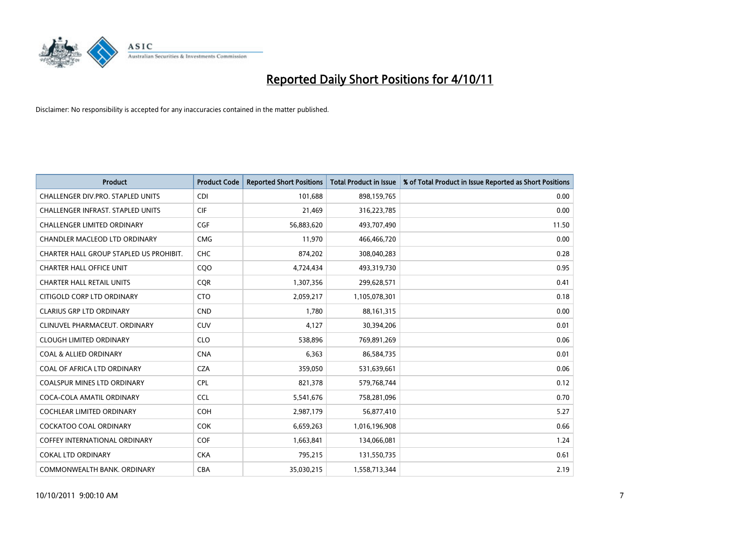

| <b>Product</b>                          | <b>Product Code</b> | <b>Reported Short Positions</b> | <b>Total Product in Issue</b> | % of Total Product in Issue Reported as Short Positions |
|-----------------------------------------|---------------------|---------------------------------|-------------------------------|---------------------------------------------------------|
| CHALLENGER DIV.PRO. STAPLED UNITS       | <b>CDI</b>          | 101,688                         | 898,159,765                   | 0.00                                                    |
| CHALLENGER INFRAST. STAPLED UNITS       | <b>CIF</b>          | 21,469                          | 316,223,785                   | 0.00                                                    |
| <b>CHALLENGER LIMITED ORDINARY</b>      | <b>CGF</b>          | 56,883,620                      | 493,707,490                   | 11.50                                                   |
| CHANDLER MACLEOD LTD ORDINARY           | <b>CMG</b>          | 11,970                          | 466,466,720                   | 0.00                                                    |
| CHARTER HALL GROUP STAPLED US PROHIBIT. | CHC                 | 874,202                         | 308,040,283                   | 0.28                                                    |
| <b>CHARTER HALL OFFICE UNIT</b>         | CQO                 | 4,724,434                       | 493,319,730                   | 0.95                                                    |
| <b>CHARTER HALL RETAIL UNITS</b>        | <b>COR</b>          | 1,307,356                       | 299,628,571                   | 0.41                                                    |
| CITIGOLD CORP LTD ORDINARY              | <b>CTO</b>          | 2,059,217                       | 1,105,078,301                 | 0.18                                                    |
| <b>CLARIUS GRP LTD ORDINARY</b>         | <b>CND</b>          | 1,780                           | 88,161,315                    | 0.00                                                    |
| CLINUVEL PHARMACEUT, ORDINARY           | <b>CUV</b>          | 4,127                           | 30,394,206                    | 0.01                                                    |
| CLOUGH LIMITED ORDINARY                 | <b>CLO</b>          | 538,896                         | 769,891,269                   | 0.06                                                    |
| <b>COAL &amp; ALLIED ORDINARY</b>       | <b>CNA</b>          | 6,363                           | 86,584,735                    | 0.01                                                    |
| COAL OF AFRICA LTD ORDINARY             | <b>CZA</b>          | 359,050                         | 531,639,661                   | 0.06                                                    |
| <b>COALSPUR MINES LTD ORDINARY</b>      | <b>CPL</b>          | 821,378                         | 579,768,744                   | 0.12                                                    |
| COCA-COLA AMATIL ORDINARY               | <b>CCL</b>          | 5,541,676                       | 758,281,096                   | 0.70                                                    |
| COCHLEAR LIMITED ORDINARY               | <b>COH</b>          | 2,987,179                       | 56,877,410                    | 5.27                                                    |
| <b>COCKATOO COAL ORDINARY</b>           | <b>COK</b>          | 6,659,263                       | 1,016,196,908                 | 0.66                                                    |
| <b>COFFEY INTERNATIONAL ORDINARY</b>    | <b>COF</b>          | 1,663,841                       | 134,066,081                   | 1.24                                                    |
| <b>COKAL LTD ORDINARY</b>               | <b>CKA</b>          | 795,215                         | 131,550,735                   | 0.61                                                    |
| COMMONWEALTH BANK, ORDINARY             | <b>CBA</b>          | 35,030,215                      | 1,558,713,344                 | 2.19                                                    |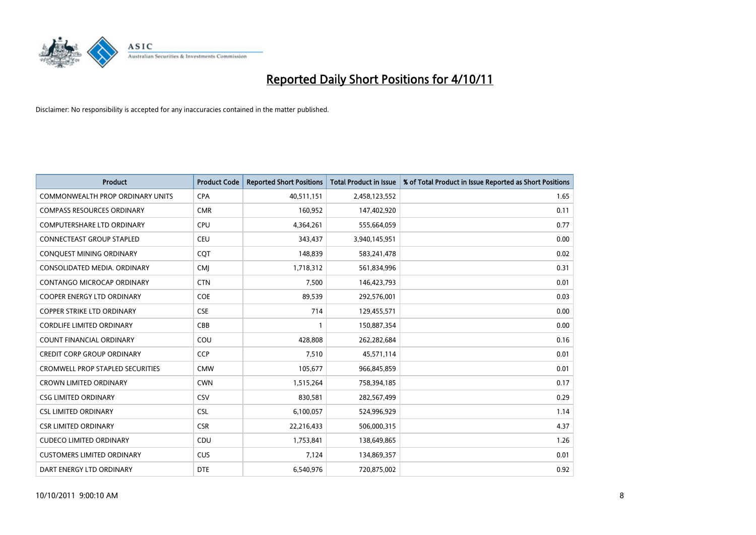

| <b>Product</b>                          | <b>Product Code</b> | <b>Reported Short Positions</b> | <b>Total Product in Issue</b> | % of Total Product in Issue Reported as Short Positions |
|-----------------------------------------|---------------------|---------------------------------|-------------------------------|---------------------------------------------------------|
| <b>COMMONWEALTH PROP ORDINARY UNITS</b> | <b>CPA</b>          | 40,511,151                      | 2,458,123,552                 | 1.65                                                    |
| <b>COMPASS RESOURCES ORDINARY</b>       | <b>CMR</b>          | 160,952                         | 147,402,920                   | 0.11                                                    |
| <b>COMPUTERSHARE LTD ORDINARY</b>       | <b>CPU</b>          | 4,364,261                       | 555,664,059                   | 0.77                                                    |
| CONNECTEAST GROUP STAPLED               | <b>CEU</b>          | 343,437                         | 3,940,145,951                 | 0.00                                                    |
| CONQUEST MINING ORDINARY                | COT                 | 148.839                         | 583,241,478                   | 0.02                                                    |
| CONSOLIDATED MEDIA, ORDINARY            | <b>CMI</b>          | 1,718,312                       | 561,834,996                   | 0.31                                                    |
| <b>CONTANGO MICROCAP ORDINARY</b>       | <b>CTN</b>          | 7,500                           | 146,423,793                   | 0.01                                                    |
| <b>COOPER ENERGY LTD ORDINARY</b>       | <b>COE</b>          | 89,539                          | 292,576,001                   | 0.03                                                    |
| COPPER STRIKE LTD ORDINARY              | <b>CSE</b>          | 714                             | 129,455,571                   | 0.00                                                    |
| <b>CORDLIFE LIMITED ORDINARY</b>        | CBB                 |                                 | 150,887,354                   | 0.00                                                    |
| <b>COUNT FINANCIAL ORDINARY</b>         | COU                 | 428,808                         | 262,282,684                   | 0.16                                                    |
| <b>CREDIT CORP GROUP ORDINARY</b>       | <b>CCP</b>          | 7,510                           | 45,571,114                    | 0.01                                                    |
| <b>CROMWELL PROP STAPLED SECURITIES</b> | <b>CMW</b>          | 105,677                         | 966,845,859                   | 0.01                                                    |
| <b>CROWN LIMITED ORDINARY</b>           | <b>CWN</b>          | 1,515,264                       | 758,394,185                   | 0.17                                                    |
| <b>CSG LIMITED ORDINARY</b>             | CSV                 | 830,581                         | 282,567,499                   | 0.29                                                    |
| <b>CSL LIMITED ORDINARY</b>             | <b>CSL</b>          | 6,100,057                       | 524,996,929                   | 1.14                                                    |
| <b>CSR LIMITED ORDINARY</b>             | <b>CSR</b>          | 22,216,433                      | 506,000,315                   | 4.37                                                    |
| <b>CUDECO LIMITED ORDINARY</b>          | CDU                 | 1,753,841                       | 138,649,865                   | 1.26                                                    |
| <b>CUSTOMERS LIMITED ORDINARY</b>       | <b>CUS</b>          | 7,124                           | 134,869,357                   | 0.01                                                    |
| DART ENERGY LTD ORDINARY                | <b>DTE</b>          | 6,540,976                       | 720,875,002                   | 0.92                                                    |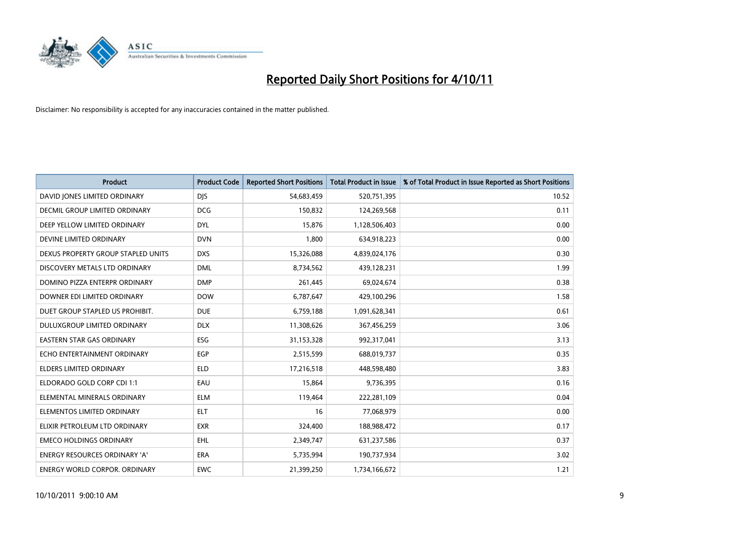

| <b>Product</b>                       | <b>Product Code</b> | <b>Reported Short Positions</b> | <b>Total Product in Issue</b> | % of Total Product in Issue Reported as Short Positions |
|--------------------------------------|---------------------|---------------------------------|-------------------------------|---------------------------------------------------------|
| DAVID JONES LIMITED ORDINARY         | <b>DJS</b>          | 54,683,459                      | 520,751,395                   | 10.52                                                   |
| DECMIL GROUP LIMITED ORDINARY        | <b>DCG</b>          | 150,832                         | 124,269,568                   | 0.11                                                    |
| DEEP YELLOW LIMITED ORDINARY         | <b>DYL</b>          | 15,876                          | 1,128,506,403                 | 0.00                                                    |
| DEVINE LIMITED ORDINARY              | <b>DVN</b>          | 1,800                           | 634,918,223                   | 0.00                                                    |
| DEXUS PROPERTY GROUP STAPLED UNITS   | <b>DXS</b>          | 15,326,088                      | 4,839,024,176                 | 0.30                                                    |
| DISCOVERY METALS LTD ORDINARY        | <b>DML</b>          | 8,734,562                       | 439,128,231                   | 1.99                                                    |
| DOMINO PIZZA ENTERPR ORDINARY        | <b>DMP</b>          | 261,445                         | 69,024,674                    | 0.38                                                    |
| DOWNER EDI LIMITED ORDINARY          | <b>DOW</b>          | 6,787,647                       | 429,100,296                   | 1.58                                                    |
| DUET GROUP STAPLED US PROHIBIT.      | <b>DUE</b>          | 6,759,188                       | 1,091,628,341                 | 0.61                                                    |
| DULUXGROUP LIMITED ORDINARY          | <b>DLX</b>          | 11,308,626                      | 367,456,259                   | 3.06                                                    |
| EASTERN STAR GAS ORDINARY            | <b>ESG</b>          | 31,153,328                      | 992,317,041                   | 3.13                                                    |
| ECHO ENTERTAINMENT ORDINARY          | EGP                 | 2,515,599                       | 688,019,737                   | 0.35                                                    |
| ELDERS LIMITED ORDINARY              | <b>ELD</b>          | 17,216,518                      | 448,598,480                   | 3.83                                                    |
| ELDORADO GOLD CORP CDI 1:1           | EAU                 | 15,864                          | 9,736,395                     | 0.16                                                    |
| ELEMENTAL MINERALS ORDINARY          | <b>ELM</b>          | 119,464                         | 222,281,109                   | 0.04                                                    |
| ELEMENTOS LIMITED ORDINARY           | <b>ELT</b>          | 16                              | 77,068,979                    | 0.00                                                    |
| ELIXIR PETROLEUM LTD ORDINARY        | <b>EXR</b>          | 324,400                         | 188,988,472                   | 0.17                                                    |
| <b>EMECO HOLDINGS ORDINARY</b>       | <b>EHL</b>          | 2,349,747                       | 631,237,586                   | 0.37                                                    |
| <b>ENERGY RESOURCES ORDINARY 'A'</b> | <b>ERA</b>          | 5,735,994                       | 190,737,934                   | 3.02                                                    |
| <b>ENERGY WORLD CORPOR, ORDINARY</b> | <b>EWC</b>          | 21,399,250                      | 1,734,166,672                 | 1.21                                                    |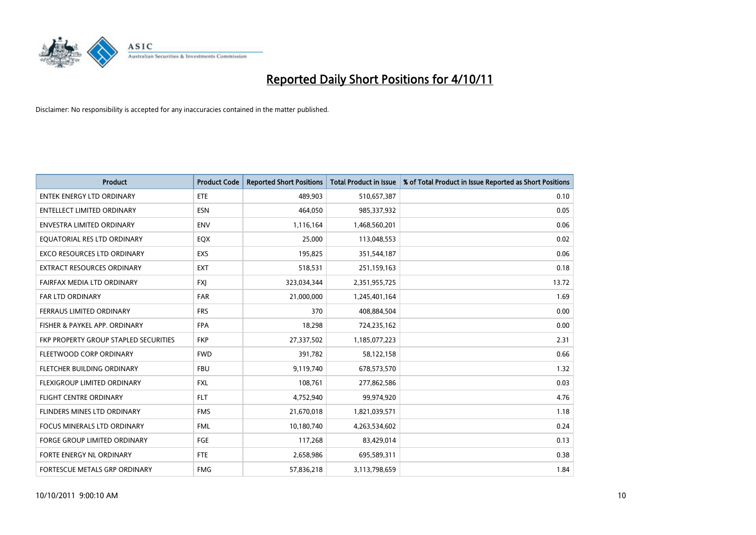

| <b>Product</b>                        | <b>Product Code</b> | <b>Reported Short Positions</b> | <b>Total Product in Issue</b> | % of Total Product in Issue Reported as Short Positions |
|---------------------------------------|---------------------|---------------------------------|-------------------------------|---------------------------------------------------------|
| <b>ENTEK ENERGY LTD ORDINARY</b>      | <b>ETE</b>          | 489,903                         | 510,657,387                   | 0.10                                                    |
| ENTELLECT LIMITED ORDINARY            | <b>ESN</b>          | 464,050                         | 985,337,932                   | 0.05                                                    |
| <b>ENVESTRA LIMITED ORDINARY</b>      | <b>ENV</b>          | 1,116,164                       | 1,468,560,201                 | 0.06                                                    |
| EQUATORIAL RES LTD ORDINARY           | <b>EQX</b>          | 25,000                          | 113,048,553                   | 0.02                                                    |
| <b>EXCO RESOURCES LTD ORDINARY</b>    | <b>EXS</b>          | 195,825                         | 351,544,187                   | 0.06                                                    |
| <b>EXTRACT RESOURCES ORDINARY</b>     | <b>EXT</b>          | 518,531                         | 251,159,163                   | 0.18                                                    |
| FAIRFAX MEDIA LTD ORDINARY            | <b>FXI</b>          | 323,034,344                     | 2,351,955,725                 | 13.72                                                   |
| <b>FAR LTD ORDINARY</b>               | <b>FAR</b>          | 21,000,000                      | 1,245,401,164                 | 1.69                                                    |
| FERRAUS LIMITED ORDINARY              | <b>FRS</b>          | 370                             | 408,884,504                   | 0.00                                                    |
| FISHER & PAYKEL APP. ORDINARY         | <b>FPA</b>          | 18,298                          | 724,235,162                   | 0.00                                                    |
| FKP PROPERTY GROUP STAPLED SECURITIES | <b>FKP</b>          | 27,337,502                      | 1,185,077,223                 | 2.31                                                    |
| FLEETWOOD CORP ORDINARY               | <b>FWD</b>          | 391,782                         | 58,122,158                    | 0.66                                                    |
| FLETCHER BUILDING ORDINARY            | <b>FBU</b>          | 9,119,740                       | 678,573,570                   | 1.32                                                    |
| <b>FLEXIGROUP LIMITED ORDINARY</b>    | <b>FXL</b>          | 108,761                         | 277,862,586                   | 0.03                                                    |
| <b>FLIGHT CENTRE ORDINARY</b>         | FLT.                | 4,752,940                       | 99,974,920                    | 4.76                                                    |
| FLINDERS MINES LTD ORDINARY           | <b>FMS</b>          | 21,670,018                      | 1,821,039,571                 | 1.18                                                    |
| <b>FOCUS MINERALS LTD ORDINARY</b>    | <b>FML</b>          | 10,180,740                      | 4,263,534,602                 | 0.24                                                    |
| <b>FORGE GROUP LIMITED ORDINARY</b>   | FGE                 | 117,268                         | 83,429,014                    | 0.13                                                    |
| FORTE ENERGY NL ORDINARY              | <b>FTE</b>          | 2,658,986                       | 695,589,311                   | 0.38                                                    |
| FORTESCUE METALS GRP ORDINARY         | <b>FMG</b>          | 57,836,218                      | 3,113,798,659                 | 1.84                                                    |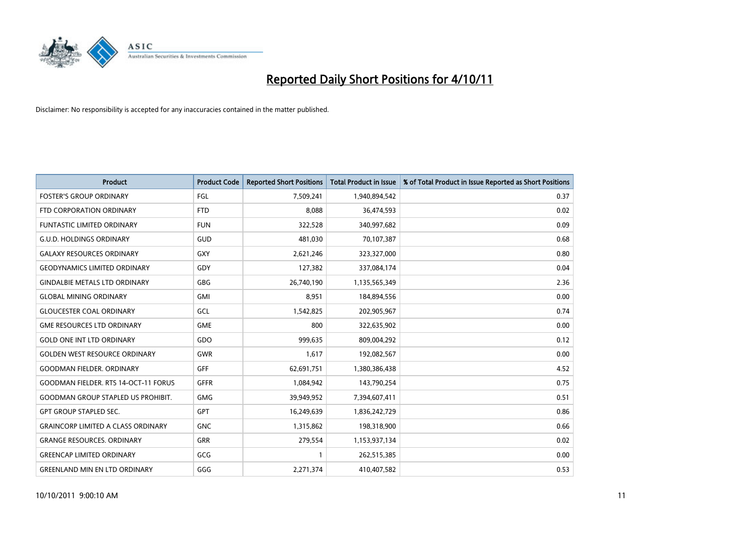

| <b>Product</b>                            | <b>Product Code</b> | <b>Reported Short Positions</b> | <b>Total Product in Issue</b> | % of Total Product in Issue Reported as Short Positions |
|-------------------------------------------|---------------------|---------------------------------|-------------------------------|---------------------------------------------------------|
| <b>FOSTER'S GROUP ORDINARY</b>            | FGL                 | 7,509,241                       | 1,940,894,542                 | 0.37                                                    |
| FTD CORPORATION ORDINARY                  | <b>FTD</b>          | 8,088                           | 36,474,593                    | 0.02                                                    |
| <b>FUNTASTIC LIMITED ORDINARY</b>         | <b>FUN</b>          | 322,528                         | 340,997,682                   | 0.09                                                    |
| <b>G.U.D. HOLDINGS ORDINARY</b>           | GUD                 | 481,030                         | 70,107,387                    | 0.68                                                    |
| <b>GALAXY RESOURCES ORDINARY</b>          | <b>GXY</b>          | 2,621,246                       | 323,327,000                   | 0.80                                                    |
| <b>GEODYNAMICS LIMITED ORDINARY</b>       | GDY                 | 127,382                         | 337,084,174                   | 0.04                                                    |
| <b>GINDALBIE METALS LTD ORDINARY</b>      | <b>GBG</b>          | 26,740,190                      | 1,135,565,349                 | 2.36                                                    |
| <b>GLOBAL MINING ORDINARY</b>             | <b>GMI</b>          | 8,951                           | 184,894,556                   | 0.00                                                    |
| <b>GLOUCESTER COAL ORDINARY</b>           | GCL                 | 1,542,825                       | 202,905,967                   | 0.74                                                    |
| <b>GME RESOURCES LTD ORDINARY</b>         | <b>GME</b>          | 800                             | 322,635,902                   | 0.00                                                    |
| <b>GOLD ONE INT LTD ORDINARY</b>          | GDO                 | 999.635                         | 809,004,292                   | 0.12                                                    |
| <b>GOLDEN WEST RESOURCE ORDINARY</b>      | <b>GWR</b>          | 1,617                           | 192,082,567                   | 0.00                                                    |
| <b>GOODMAN FIELDER, ORDINARY</b>          | GFF                 | 62,691,751                      | 1,380,386,438                 | 4.52                                                    |
| GOODMAN FIELDER. RTS 14-OCT-11 FORUS      | <b>GFFR</b>         | 1,084,942                       | 143,790,254                   | 0.75                                                    |
| <b>GOODMAN GROUP STAPLED US PROHIBIT.</b> | <b>GMG</b>          | 39,949,952                      | 7,394,607,411                 | 0.51                                                    |
| <b>GPT GROUP STAPLED SEC.</b>             | <b>GPT</b>          | 16,249,639                      | 1,836,242,729                 | 0.86                                                    |
| <b>GRAINCORP LIMITED A CLASS ORDINARY</b> | <b>GNC</b>          | 1,315,862                       | 198,318,900                   | 0.66                                                    |
| <b>GRANGE RESOURCES. ORDINARY</b>         | <b>GRR</b>          | 279,554                         | 1,153,937,134                 | 0.02                                                    |
| <b>GREENCAP LIMITED ORDINARY</b>          | GCG                 | $\mathbf{1}$                    | 262,515,385                   | 0.00                                                    |
| <b>GREENLAND MIN EN LTD ORDINARY</b>      | GGG                 | 2,271,374                       | 410,407,582                   | 0.53                                                    |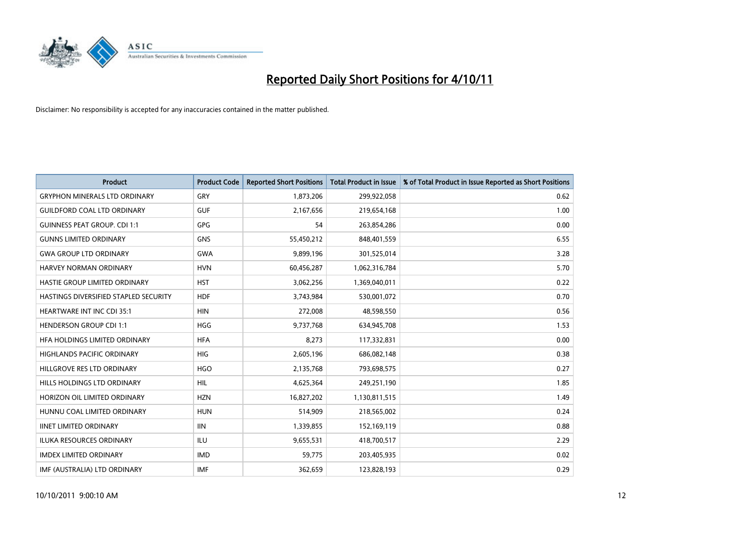

| <b>Product</b>                        | <b>Product Code</b> | <b>Reported Short Positions</b> | <b>Total Product in Issue</b> | % of Total Product in Issue Reported as Short Positions |
|---------------------------------------|---------------------|---------------------------------|-------------------------------|---------------------------------------------------------|
| <b>GRYPHON MINERALS LTD ORDINARY</b>  | GRY                 | 1,873,206                       | 299,922,058                   | 0.62                                                    |
| <b>GUILDFORD COAL LTD ORDINARY</b>    | <b>GUF</b>          | 2,167,656                       | 219,654,168                   | 1.00                                                    |
| <b>GUINNESS PEAT GROUP. CDI 1:1</b>   | <b>GPG</b>          | 54                              | 263,854,286                   | 0.00                                                    |
| <b>GUNNS LIMITED ORDINARY</b>         | <b>GNS</b>          | 55,450,212                      | 848,401,559                   | 6.55                                                    |
| <b>GWA GROUP LTD ORDINARY</b>         | <b>GWA</b>          | 9,899,196                       | 301,525,014                   | 3.28                                                    |
| <b>HARVEY NORMAN ORDINARY</b>         | <b>HVN</b>          | 60,456,287                      | 1,062,316,784                 | 5.70                                                    |
| HASTIE GROUP LIMITED ORDINARY         | <b>HST</b>          | 3,062,256                       | 1,369,040,011                 | 0.22                                                    |
| HASTINGS DIVERSIFIED STAPLED SECURITY | <b>HDF</b>          | 3,743,984                       | 530,001,072                   | 0.70                                                    |
| HEARTWARE INT INC CDI 35:1            | <b>HIN</b>          | 272,008                         | 48,598,550                    | 0.56                                                    |
| <b>HENDERSON GROUP CDI 1:1</b>        | <b>HGG</b>          | 9,737,768                       | 634,945,708                   | 1.53                                                    |
| HFA HOLDINGS LIMITED ORDINARY         | <b>HFA</b>          | 8,273                           | 117,332,831                   | 0.00                                                    |
| <b>HIGHLANDS PACIFIC ORDINARY</b>     | <b>HIG</b>          | 2,605,196                       | 686,082,148                   | 0.38                                                    |
| HILLGROVE RES LTD ORDINARY            | <b>HGO</b>          | 2,135,768                       | 793,698,575                   | 0.27                                                    |
| HILLS HOLDINGS LTD ORDINARY           | <b>HIL</b>          | 4,625,364                       | 249,251,190                   | 1.85                                                    |
| HORIZON OIL LIMITED ORDINARY          | <b>HZN</b>          | 16,827,202                      | 1,130,811,515                 | 1.49                                                    |
| HUNNU COAL LIMITED ORDINARY           | <b>HUN</b>          | 514,909                         | 218,565,002                   | 0.24                                                    |
| <b>IINET LIMITED ORDINARY</b>         | <b>IIN</b>          | 1,339,855                       | 152,169,119                   | 0.88                                                    |
| ILUKA RESOURCES ORDINARY              | ILU                 | 9,655,531                       | 418,700,517                   | 2.29                                                    |
| <b>IMDEX LIMITED ORDINARY</b>         | <b>IMD</b>          | 59,775                          | 203,405,935                   | 0.02                                                    |
| IMF (AUSTRALIA) LTD ORDINARY          | <b>IMF</b>          | 362.659                         | 123,828,193                   | 0.29                                                    |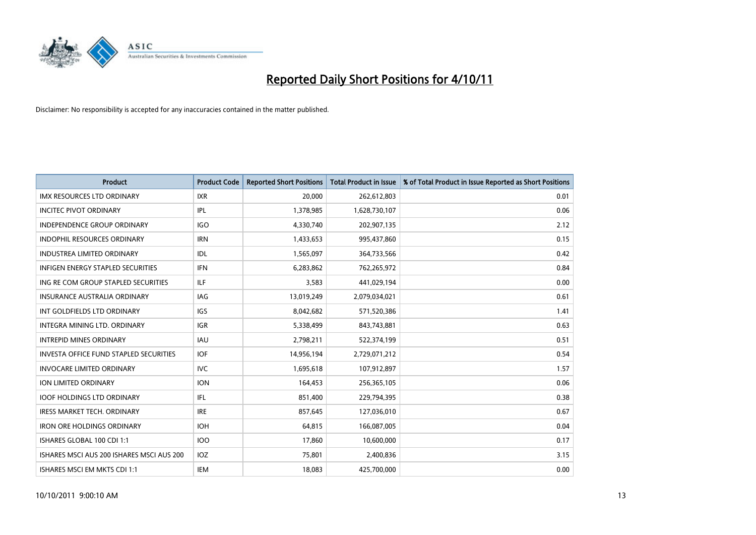

| <b>Product</b>                                | <b>Product Code</b> | <b>Reported Short Positions</b> | <b>Total Product in Issue</b> | % of Total Product in Issue Reported as Short Positions |
|-----------------------------------------------|---------------------|---------------------------------|-------------------------------|---------------------------------------------------------|
| <b>IMX RESOURCES LTD ORDINARY</b>             | <b>IXR</b>          | 20,000                          | 262,612,803                   | 0.01                                                    |
| <b>INCITEC PIVOT ORDINARY</b>                 | IPL                 | 1,378,985                       | 1,628,730,107                 | 0.06                                                    |
| <b>INDEPENDENCE GROUP ORDINARY</b>            | <b>IGO</b>          | 4,330,740                       | 202,907,135                   | 2.12                                                    |
| INDOPHIL RESOURCES ORDINARY                   | <b>IRN</b>          | 1,433,653                       | 995,437,860                   | 0.15                                                    |
| <b>INDUSTREA LIMITED ORDINARY</b>             | IDL                 | 1,565,097                       | 364,733,566                   | 0.42                                                    |
| <b>INFIGEN ENERGY STAPLED SECURITIES</b>      | <b>IFN</b>          | 6,283,862                       | 762,265,972                   | 0.84                                                    |
| ING RE COM GROUP STAPLED SECURITIES           | ILF.                | 3,583                           | 441,029,194                   | 0.00                                                    |
| <b>INSURANCE AUSTRALIA ORDINARY</b>           | IAG                 | 13,019,249                      | 2,079,034,021                 | 0.61                                                    |
| INT GOLDFIELDS LTD ORDINARY                   | <b>IGS</b>          | 8,042,682                       | 571,520,386                   | 1.41                                                    |
| <b>INTEGRA MINING LTD, ORDINARY</b>           | <b>IGR</b>          | 5,338,499                       | 843,743,881                   | 0.63                                                    |
| <b>INTREPID MINES ORDINARY</b>                | <b>IAU</b>          | 2,798,211                       | 522,374,199                   | 0.51                                                    |
| <b>INVESTA OFFICE FUND STAPLED SECURITIES</b> | <b>IOF</b>          | 14,956,194                      | 2,729,071,212                 | 0.54                                                    |
| <b>INVOCARE LIMITED ORDINARY</b>              | <b>IVC</b>          | 1,695,618                       | 107,912,897                   | 1.57                                                    |
| <b>ION LIMITED ORDINARY</b>                   | <b>ION</b>          | 164,453                         | 256,365,105                   | 0.06                                                    |
| <b>IOOF HOLDINGS LTD ORDINARY</b>             | IFL                 | 851,400                         | 229,794,395                   | 0.38                                                    |
| <b>IRESS MARKET TECH. ORDINARY</b>            | <b>IRE</b>          | 857,645                         | 127,036,010                   | 0.67                                                    |
| <b>IRON ORE HOLDINGS ORDINARY</b>             | <b>IOH</b>          | 64,815                          | 166,087,005                   | 0.04                                                    |
| ISHARES GLOBAL 100 CDI 1:1                    | <b>IOO</b>          | 17,860                          | 10,600,000                    | 0.17                                                    |
| ISHARES MSCI AUS 200 ISHARES MSCI AUS 200     | <b>IOZ</b>          | 75,801                          | 2,400,836                     | 3.15                                                    |
| ISHARES MSCI EM MKTS CDI 1:1                  | <b>IEM</b>          | 18.083                          | 425,700,000                   | 0.00                                                    |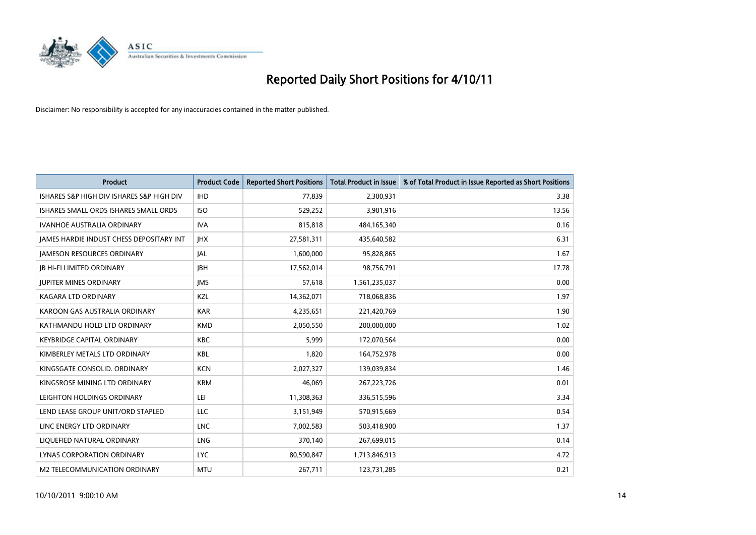

| <b>Product</b>                            | <b>Product Code</b> | <b>Reported Short Positions</b> | <b>Total Product in Issue</b> | % of Total Product in Issue Reported as Short Positions |
|-------------------------------------------|---------------------|---------------------------------|-------------------------------|---------------------------------------------------------|
| ISHARES S&P HIGH DIV ISHARES S&P HIGH DIV | <b>IHD</b>          | 77,839                          | 2,300,931                     | 3.38                                                    |
| ISHARES SMALL ORDS ISHARES SMALL ORDS     | <b>ISO</b>          | 529,252                         | 3,901,916                     | 13.56                                                   |
| <b>IVANHOE AUSTRALIA ORDINARY</b>         | <b>IVA</b>          | 815,818                         | 484,165,340                   | 0.16                                                    |
| JAMES HARDIE INDUST CHESS DEPOSITARY INT  | <b>IHX</b>          | 27,581,311                      | 435,640,582                   | 6.31                                                    |
| <b>JAMESON RESOURCES ORDINARY</b>         | <b>JAL</b>          | 1,600,000                       | 95,828,865                    | 1.67                                                    |
| <b>JB HI-FI LIMITED ORDINARY</b>          | <b>IBH</b>          | 17,562,014                      | 98,756,791                    | 17.78                                                   |
| <b>JUPITER MINES ORDINARY</b>             | <b>IMS</b>          | 57,618                          | 1,561,235,037                 | 0.00                                                    |
| <b>KAGARA LTD ORDINARY</b>                | <b>KZL</b>          | 14,362,071                      | 718,068,836                   | 1.97                                                    |
| KAROON GAS AUSTRALIA ORDINARY             | <b>KAR</b>          | 4,235,651                       | 221,420,769                   | 1.90                                                    |
| KATHMANDU HOLD LTD ORDINARY               | <b>KMD</b>          | 2,050,550                       | 200,000,000                   | 1.02                                                    |
| <b>KEYBRIDGE CAPITAL ORDINARY</b>         | <b>KBC</b>          | 5,999                           | 172,070,564                   | 0.00                                                    |
| KIMBERLEY METALS LTD ORDINARY             | <b>KBL</b>          | 1,820                           | 164,752,978                   | 0.00                                                    |
| KINGSGATE CONSOLID. ORDINARY              | <b>KCN</b>          | 2,027,327                       | 139,039,834                   | 1.46                                                    |
| KINGSROSE MINING LTD ORDINARY             | <b>KRM</b>          | 46,069                          | 267,223,726                   | 0.01                                                    |
| LEIGHTON HOLDINGS ORDINARY                | LEI                 | 11,308,363                      | 336,515,596                   | 3.34                                                    |
| LEND LEASE GROUP UNIT/ORD STAPLED         | LLC                 | 3,151,949                       | 570,915,669                   | 0.54                                                    |
| LINC ENERGY LTD ORDINARY                  | <b>LNC</b>          | 7,002,583                       | 503,418,900                   | 1.37                                                    |
| LIQUEFIED NATURAL ORDINARY                | <b>LNG</b>          | 370,140                         | 267,699,015                   | 0.14                                                    |
| LYNAS CORPORATION ORDINARY                | <b>LYC</b>          | 80,590,847                      | 1,713,846,913                 | 4.72                                                    |
| M2 TELECOMMUNICATION ORDINARY             | <b>MTU</b>          | 267,711                         | 123,731,285                   | 0.21                                                    |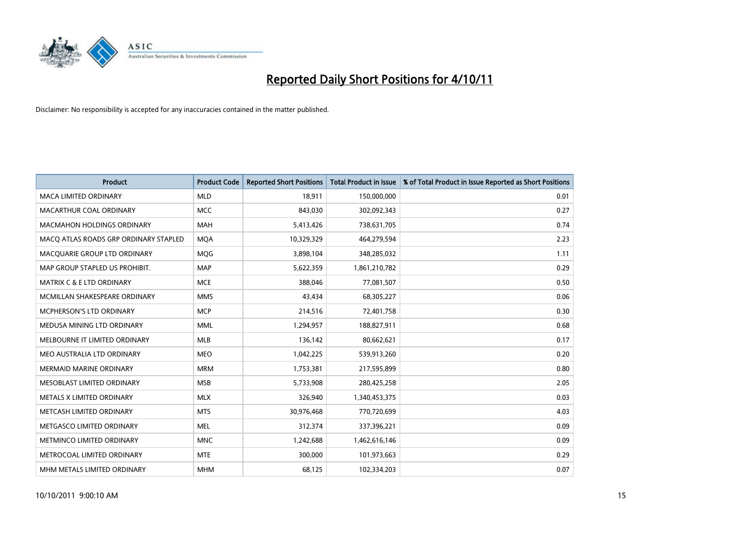

| <b>Product</b>                        | <b>Product Code</b> | <b>Reported Short Positions</b> | <b>Total Product in Issue</b> | % of Total Product in Issue Reported as Short Positions |
|---------------------------------------|---------------------|---------------------------------|-------------------------------|---------------------------------------------------------|
| <b>MACA LIMITED ORDINARY</b>          | <b>MLD</b>          | 18,911                          | 150,000,000                   | 0.01                                                    |
| MACARTHUR COAL ORDINARY               | <b>MCC</b>          | 843,030                         | 302,092,343                   | 0.27                                                    |
| <b>MACMAHON HOLDINGS ORDINARY</b>     | <b>MAH</b>          | 5,413,426                       | 738,631,705                   | 0.74                                                    |
| MACQ ATLAS ROADS GRP ORDINARY STAPLED | <b>MQA</b>          | 10,329,329                      | 464,279,594                   | 2.23                                                    |
| MACQUARIE GROUP LTD ORDINARY          | <b>MOG</b>          | 3,898,104                       | 348,285,032                   | 1.11                                                    |
| MAP GROUP STAPLED US PROHIBIT.        | <b>MAP</b>          | 5,622,359                       | 1,861,210,782                 | 0.29                                                    |
| <b>MATRIX C &amp; E LTD ORDINARY</b>  | <b>MCE</b>          | 388.046                         | 77,081,507                    | 0.50                                                    |
| MCMILLAN SHAKESPEARE ORDINARY         | <b>MMS</b>          | 43,434                          | 68,305,227                    | 0.06                                                    |
| <b>MCPHERSON'S LTD ORDINARY</b>       | <b>MCP</b>          | 214,516                         | 72,401,758                    | 0.30                                                    |
| MEDUSA MINING LTD ORDINARY            | <b>MML</b>          | 1,294,957                       | 188,827,911                   | 0.68                                                    |
| MELBOURNE IT LIMITED ORDINARY         | MLB                 | 136,142                         | 80,662,621                    | 0.17                                                    |
| MEO AUSTRALIA LTD ORDINARY            | <b>MEO</b>          | 1,042,225                       | 539,913,260                   | 0.20                                                    |
| MERMAID MARINE ORDINARY               | <b>MRM</b>          | 1,753,381                       | 217,595,899                   | 0.80                                                    |
| MESOBLAST LIMITED ORDINARY            | <b>MSB</b>          | 5,733,908                       | 280,425,258                   | 2.05                                                    |
| METALS X LIMITED ORDINARY             | <b>MLX</b>          | 326,940                         | 1,340,453,375                 | 0.03                                                    |
| METCASH LIMITED ORDINARY              | <b>MTS</b>          | 30,976,468                      | 770,720,699                   | 4.03                                                    |
| METGASCO LIMITED ORDINARY             | <b>MEL</b>          | 312,374                         | 337,396,221                   | 0.09                                                    |
| METMINCO LIMITED ORDINARY             | <b>MNC</b>          | 1,242,688                       | 1,462,616,146                 | 0.09                                                    |
| METROCOAL LIMITED ORDINARY            | <b>MTE</b>          | 300,000                         | 101,973,663                   | 0.29                                                    |
| MHM METALS LIMITED ORDINARY           | <b>MHM</b>          | 68,125                          | 102,334,203                   | 0.07                                                    |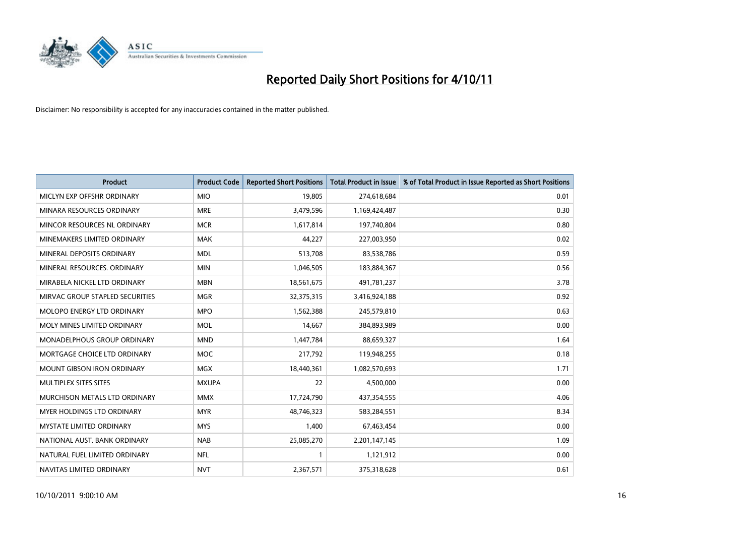

| <b>Product</b>                       | <b>Product Code</b> | <b>Reported Short Positions</b> | <b>Total Product in Issue</b> | % of Total Product in Issue Reported as Short Positions |
|--------------------------------------|---------------------|---------------------------------|-------------------------------|---------------------------------------------------------|
| MICLYN EXP OFFSHR ORDINARY           | <b>MIO</b>          | 19,805                          | 274,618,684                   | 0.01                                                    |
| MINARA RESOURCES ORDINARY            | <b>MRE</b>          | 3,479,596                       | 1,169,424,487                 | 0.30                                                    |
| MINCOR RESOURCES NL ORDINARY         | <b>MCR</b>          | 1,617,814                       | 197,740,804                   | 0.80                                                    |
| MINEMAKERS LIMITED ORDINARY          | <b>MAK</b>          | 44,227                          | 227,003,950                   | 0.02                                                    |
| MINERAL DEPOSITS ORDINARY            | <b>MDL</b>          | 513,708                         | 83,538,786                    | 0.59                                                    |
| MINERAL RESOURCES, ORDINARY          | <b>MIN</b>          | 1,046,505                       | 183,884,367                   | 0.56                                                    |
| MIRABELA NICKEL LTD ORDINARY         | <b>MBN</b>          | 18,561,675                      | 491,781,237                   | 3.78                                                    |
| MIRVAC GROUP STAPLED SECURITIES      | <b>MGR</b>          | 32,375,315                      | 3,416,924,188                 | 0.92                                                    |
| <b>MOLOPO ENERGY LTD ORDINARY</b>    | <b>MPO</b>          | 1,562,388                       | 245,579,810                   | 0.63                                                    |
| MOLY MINES LIMITED ORDINARY          | <b>MOL</b>          | 14,667                          | 384,893,989                   | 0.00                                                    |
| MONADELPHOUS GROUP ORDINARY          | <b>MND</b>          | 1,447,784                       | 88,659,327                    | 1.64                                                    |
| MORTGAGE CHOICE LTD ORDINARY         | <b>MOC</b>          | 217,792                         | 119,948,255                   | 0.18                                                    |
| MOUNT GIBSON IRON ORDINARY           | <b>MGX</b>          | 18,440,361                      | 1,082,570,693                 | 1.71                                                    |
| MULTIPLEX SITES SITES                | <b>MXUPA</b>        | 22                              | 4,500,000                     | 0.00                                                    |
| <b>MURCHISON METALS LTD ORDINARY</b> | <b>MMX</b>          | 17,724,790                      | 437,354,555                   | 4.06                                                    |
| MYER HOLDINGS LTD ORDINARY           | <b>MYR</b>          | 48,746,323                      | 583,284,551                   | 8.34                                                    |
| MYSTATE LIMITED ORDINARY             | <b>MYS</b>          | 1,400                           | 67,463,454                    | 0.00                                                    |
| NATIONAL AUST. BANK ORDINARY         | <b>NAB</b>          | 25,085,270                      | 2,201,147,145                 | 1.09                                                    |
| NATURAL FUEL LIMITED ORDINARY        | <b>NFL</b>          | 1                               | 1,121,912                     | 0.00                                                    |
| NAVITAS LIMITED ORDINARY             | <b>NVT</b>          | 2,367,571                       | 375,318,628                   | 0.61                                                    |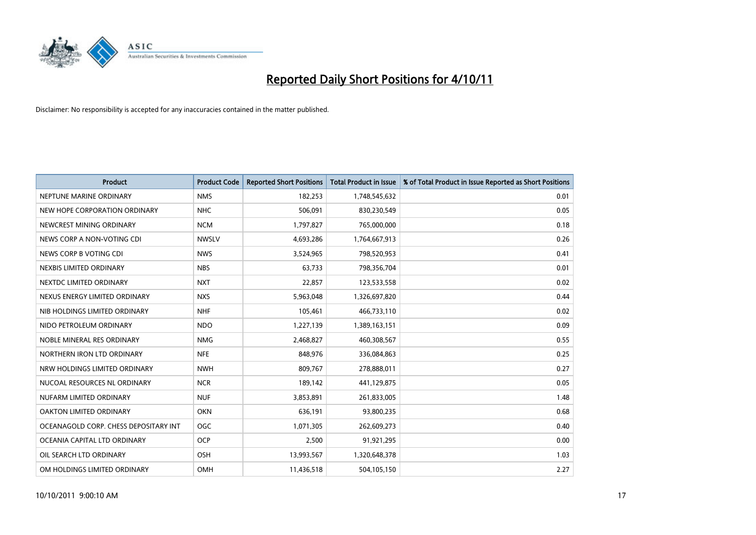

| <b>Product</b>                        | <b>Product Code</b> | <b>Reported Short Positions</b> | <b>Total Product in Issue</b> | % of Total Product in Issue Reported as Short Positions |
|---------------------------------------|---------------------|---------------------------------|-------------------------------|---------------------------------------------------------|
| NEPTUNE MARINE ORDINARY               | <b>NMS</b>          | 182,253                         | 1,748,545,632                 | 0.01                                                    |
| NEW HOPE CORPORATION ORDINARY         | <b>NHC</b>          | 506,091                         | 830,230,549                   | 0.05                                                    |
| NEWCREST MINING ORDINARY              | <b>NCM</b>          | 1,797,827                       | 765,000,000                   | 0.18                                                    |
| NEWS CORP A NON-VOTING CDI            | <b>NWSLV</b>        | 4,693,286                       | 1,764,667,913                 | 0.26                                                    |
| NEWS CORP B VOTING CDI                | <b>NWS</b>          | 3,524,965                       | 798,520,953                   | 0.41                                                    |
| NEXBIS LIMITED ORDINARY               | <b>NBS</b>          | 63,733                          | 798,356,704                   | 0.01                                                    |
| NEXTDC LIMITED ORDINARY               | <b>NXT</b>          | 22,857                          | 123,533,558                   | 0.02                                                    |
| NEXUS ENERGY LIMITED ORDINARY         | <b>NXS</b>          | 5,963,048                       | 1,326,697,820                 | 0.44                                                    |
| NIB HOLDINGS LIMITED ORDINARY         | <b>NHF</b>          | 105,461                         | 466,733,110                   | 0.02                                                    |
| NIDO PETROLEUM ORDINARY               | <b>NDO</b>          | 1,227,139                       | 1,389,163,151                 | 0.09                                                    |
| NOBLE MINERAL RES ORDINARY            | <b>NMG</b>          | 2,468,827                       | 460,308,567                   | 0.55                                                    |
| NORTHERN IRON LTD ORDINARY            | <b>NFE</b>          | 848,976                         | 336,084,863                   | 0.25                                                    |
| NRW HOLDINGS LIMITED ORDINARY         | <b>NWH</b>          | 809,767                         | 278,888,011                   | 0.27                                                    |
| NUCOAL RESOURCES NL ORDINARY          | <b>NCR</b>          | 189,142                         | 441,129,875                   | 0.05                                                    |
| NUFARM LIMITED ORDINARY               | <b>NUF</b>          | 3,853,891                       | 261,833,005                   | 1.48                                                    |
| OAKTON LIMITED ORDINARY               | <b>OKN</b>          | 636,191                         | 93,800,235                    | 0.68                                                    |
| OCEANAGOLD CORP. CHESS DEPOSITARY INT | <b>OGC</b>          | 1,071,305                       | 262,609,273                   | 0.40                                                    |
| OCEANIA CAPITAL LTD ORDINARY          | <b>OCP</b>          | 2,500                           | 91,921,295                    | 0.00                                                    |
| OIL SEARCH LTD ORDINARY               | <b>OSH</b>          | 13,993,567                      | 1,320,648,378                 | 1.03                                                    |
| OM HOLDINGS LIMITED ORDINARY          | <b>OMH</b>          | 11,436,518                      | 504,105,150                   | 2.27                                                    |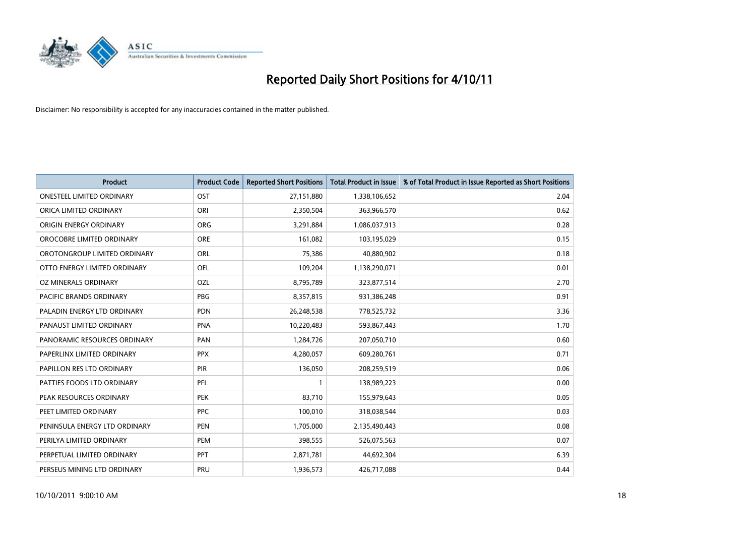

| <b>Product</b>                   | <b>Product Code</b> | <b>Reported Short Positions</b> | <b>Total Product in Issue</b> | % of Total Product in Issue Reported as Short Positions |
|----------------------------------|---------------------|---------------------------------|-------------------------------|---------------------------------------------------------|
| <b>ONESTEEL LIMITED ORDINARY</b> | OST                 | 27,151,880                      | 1,338,106,652                 | 2.04                                                    |
| ORICA LIMITED ORDINARY           | ORI                 | 2,350,504                       | 363,966,570                   | 0.62                                                    |
| ORIGIN ENERGY ORDINARY           | <b>ORG</b>          | 3,291,884                       | 1,086,037,913                 | 0.28                                                    |
| OROCOBRE LIMITED ORDINARY        | <b>ORE</b>          | 161,082                         | 103,195,029                   | 0.15                                                    |
| OROTONGROUP LIMITED ORDINARY     | <b>ORL</b>          | 75,386                          | 40,880,902                    | 0.18                                                    |
| OTTO ENERGY LIMITED ORDINARY     | <b>OEL</b>          | 109,204                         | 1,138,290,071                 | 0.01                                                    |
| OZ MINERALS ORDINARY             | OZL                 | 8,795,789                       | 323,877,514                   | 2.70                                                    |
| PACIFIC BRANDS ORDINARY          | PBG                 | 8,357,815                       | 931,386,248                   | 0.91                                                    |
| PALADIN ENERGY LTD ORDINARY      | <b>PDN</b>          | 26,248,538                      | 778,525,732                   | 3.36                                                    |
| PANAUST LIMITED ORDINARY         | <b>PNA</b>          | 10,220,483                      | 593,867,443                   | 1.70                                                    |
| PANORAMIC RESOURCES ORDINARY     | PAN                 | 1,284,726                       | 207,050,710                   | 0.60                                                    |
| PAPERLINX LIMITED ORDINARY       | <b>PPX</b>          | 4,280,057                       | 609,280,761                   | 0.71                                                    |
| PAPILLON RES LTD ORDINARY        | <b>PIR</b>          | 136,050                         | 208,259,519                   | 0.06                                                    |
| PATTIES FOODS LTD ORDINARY       | PFL                 |                                 | 138,989,223                   | 0.00                                                    |
| PEAK RESOURCES ORDINARY          | <b>PEK</b>          | 83,710                          | 155,979,643                   | 0.05                                                    |
| PEET LIMITED ORDINARY            | <b>PPC</b>          | 100,010                         | 318,038,544                   | 0.03                                                    |
| PENINSULA ENERGY LTD ORDINARY    | <b>PEN</b>          | 1,705,000                       | 2,135,490,443                 | 0.08                                                    |
| PERILYA LIMITED ORDINARY         | PEM                 | 398,555                         | 526,075,563                   | 0.07                                                    |
| PERPETUAL LIMITED ORDINARY       | <b>PPT</b>          | 2,871,781                       | 44,692,304                    | 6.39                                                    |
| PERSEUS MINING LTD ORDINARY      | PRU                 | 1,936,573                       | 426,717,088                   | 0.44                                                    |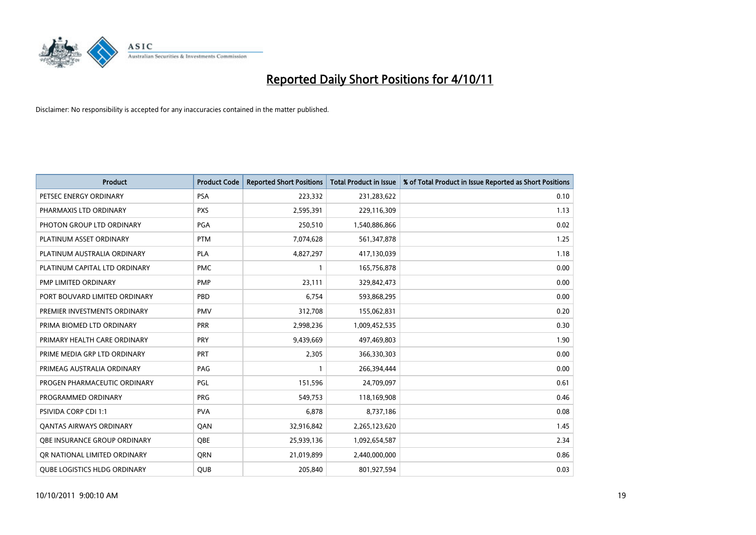

| <b>Product</b>                      | <b>Product Code</b> | <b>Reported Short Positions</b> | <b>Total Product in Issue</b> | % of Total Product in Issue Reported as Short Positions |
|-------------------------------------|---------------------|---------------------------------|-------------------------------|---------------------------------------------------------|
| PETSEC ENERGY ORDINARY              | <b>PSA</b>          | 223,332                         | 231,283,622                   | 0.10                                                    |
| PHARMAXIS LTD ORDINARY              | <b>PXS</b>          | 2,595,391                       | 229,116,309                   | 1.13                                                    |
| PHOTON GROUP LTD ORDINARY           | PGA                 | 250,510                         | 1,540,886,866                 | 0.02                                                    |
| PLATINUM ASSET ORDINARY             | <b>PTM</b>          | 7,074,628                       | 561,347,878                   | 1.25                                                    |
| PLATINUM AUSTRALIA ORDINARY         | <b>PLA</b>          | 4,827,297                       | 417,130,039                   | 1.18                                                    |
| PLATINUM CAPITAL LTD ORDINARY       | <b>PMC</b>          |                                 | 165,756,878                   | 0.00                                                    |
| PMP LIMITED ORDINARY                | <b>PMP</b>          | 23,111                          | 329,842,473                   | 0.00                                                    |
| PORT BOUVARD LIMITED ORDINARY       | PBD                 | 6,754                           | 593,868,295                   | 0.00                                                    |
| PREMIER INVESTMENTS ORDINARY        | <b>PMV</b>          | 312,708                         | 155,062,831                   | 0.20                                                    |
| PRIMA BIOMED LTD ORDINARY           | <b>PRR</b>          | 2,998,236                       | 1,009,452,535                 | 0.30                                                    |
| PRIMARY HEALTH CARE ORDINARY        | PRY                 | 9,439,669                       | 497,469,803                   | 1.90                                                    |
| PRIME MEDIA GRP LTD ORDINARY        | PRT                 | 2,305                           | 366,330,303                   | 0.00                                                    |
| PRIMEAG AUSTRALIA ORDINARY          | PAG                 |                                 | 266,394,444                   | 0.00                                                    |
| PROGEN PHARMACEUTIC ORDINARY        | PGL                 | 151,596                         | 24,709,097                    | 0.61                                                    |
| PROGRAMMED ORDINARY                 | <b>PRG</b>          | 549,753                         | 118,169,908                   | 0.46                                                    |
| PSIVIDA CORP CDI 1:1                | <b>PVA</b>          | 6,878                           | 8,737,186                     | 0.08                                                    |
| <b>QANTAS AIRWAYS ORDINARY</b>      | QAN                 | 32,916,842                      | 2,265,123,620                 | 1.45                                                    |
| OBE INSURANCE GROUP ORDINARY        | <b>OBE</b>          | 25,939,136                      | 1,092,654,587                 | 2.34                                                    |
| OR NATIONAL LIMITED ORDINARY        | <b>ORN</b>          | 21,019,899                      | 2,440,000,000                 | 0.86                                                    |
| <b>QUBE LOGISTICS HLDG ORDINARY</b> | QUB                 | 205,840                         | 801,927,594                   | 0.03                                                    |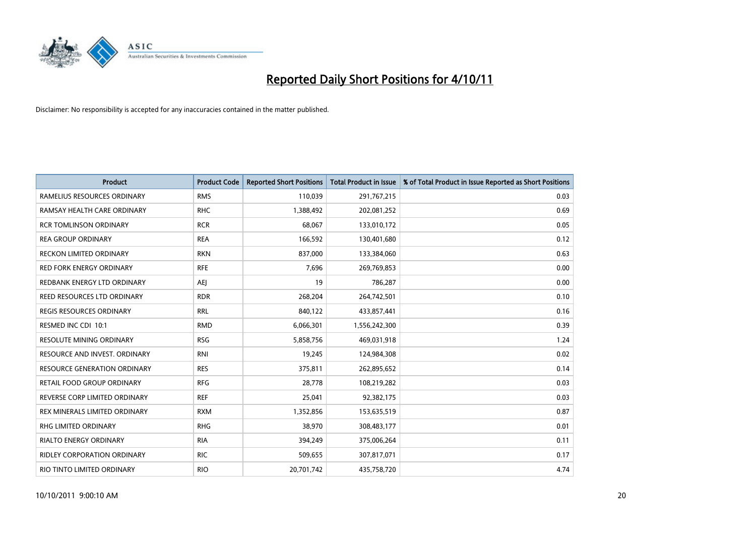

| <b>Product</b>                     | <b>Product Code</b> | <b>Reported Short Positions</b> | Total Product in Issue | % of Total Product in Issue Reported as Short Positions |
|------------------------------------|---------------------|---------------------------------|------------------------|---------------------------------------------------------|
| RAMELIUS RESOURCES ORDINARY        | <b>RMS</b>          | 110,039                         | 291,767,215            | 0.03                                                    |
| RAMSAY HEALTH CARE ORDINARY        | <b>RHC</b>          | 1,388,492                       | 202,081,252            | 0.69                                                    |
| <b>RCR TOMLINSON ORDINARY</b>      | <b>RCR</b>          | 68.067                          | 133,010,172            | 0.05                                                    |
| <b>REA GROUP ORDINARY</b>          | <b>REA</b>          | 166,592                         | 130,401,680            | 0.12                                                    |
| <b>RECKON LIMITED ORDINARY</b>     | <b>RKN</b>          | 837,000                         | 133,384,060            | 0.63                                                    |
| <b>RED FORK ENERGY ORDINARY</b>    | <b>RFE</b>          | 7,696                           | 269,769,853            | 0.00                                                    |
| REDBANK ENERGY LTD ORDINARY        | AEJ                 | 19                              | 786,287                | 0.00                                                    |
| REED RESOURCES LTD ORDINARY        | <b>RDR</b>          | 268,204                         | 264,742,501            | 0.10                                                    |
| <b>REGIS RESOURCES ORDINARY</b>    | <b>RRL</b>          | 840,122                         | 433,857,441            | 0.16                                                    |
| RESMED INC CDI 10:1                | <b>RMD</b>          | 6,066,301                       | 1,556,242,300          | 0.39                                                    |
| RESOLUTE MINING ORDINARY           | <b>RSG</b>          | 5,858,756                       | 469,031,918            | 1.24                                                    |
| RESOURCE AND INVEST. ORDINARY      | <b>RNI</b>          | 19,245                          | 124,984,308            | 0.02                                                    |
| RESOURCE GENERATION ORDINARY       | <b>RES</b>          | 375,811                         | 262,895,652            | 0.14                                                    |
| RETAIL FOOD GROUP ORDINARY         | <b>RFG</b>          | 28,778                          | 108,219,282            | 0.03                                                    |
| REVERSE CORP LIMITED ORDINARY      | <b>REF</b>          | 25,041                          | 92,382,175             | 0.03                                                    |
| REX MINERALS LIMITED ORDINARY      | <b>RXM</b>          | 1,352,856                       | 153,635,519            | 0.87                                                    |
| RHG LIMITED ORDINARY               | <b>RHG</b>          | 38,970                          | 308,483,177            | 0.01                                                    |
| RIALTO ENERGY ORDINARY             | <b>RIA</b>          | 394,249                         | 375,006,264            | 0.11                                                    |
| <b>RIDLEY CORPORATION ORDINARY</b> | <b>RIC</b>          | 509,655                         | 307,817,071            | 0.17                                                    |
| RIO TINTO LIMITED ORDINARY         | <b>RIO</b>          | 20,701,742                      | 435,758,720            | 4.74                                                    |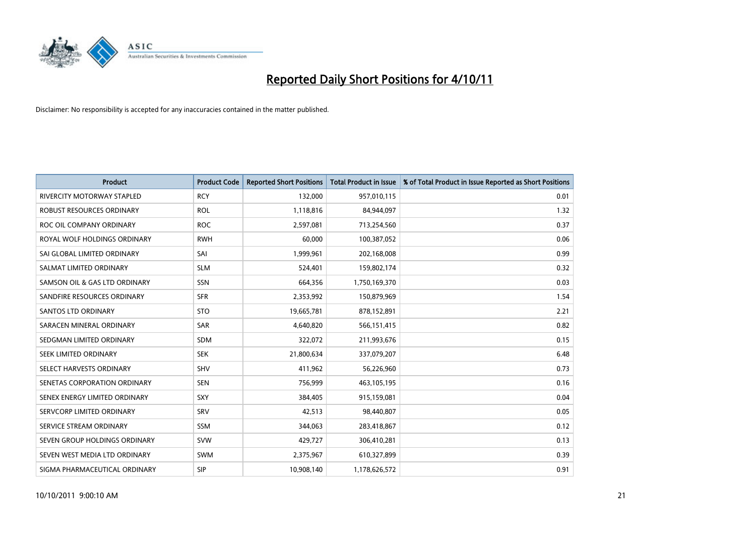

| <b>Product</b>                    | <b>Product Code</b> | <b>Reported Short Positions</b> | <b>Total Product in Issue</b> | % of Total Product in Issue Reported as Short Positions |
|-----------------------------------|---------------------|---------------------------------|-------------------------------|---------------------------------------------------------|
| <b>RIVERCITY MOTORWAY STAPLED</b> | <b>RCY</b>          | 132,000                         | 957,010,115                   | 0.01                                                    |
| ROBUST RESOURCES ORDINARY         | <b>ROL</b>          | 1,118,816                       | 84,944,097                    | 1.32                                                    |
| ROC OIL COMPANY ORDINARY          | <b>ROC</b>          | 2,597,081                       | 713,254,560                   | 0.37                                                    |
| ROYAL WOLF HOLDINGS ORDINARY      | <b>RWH</b>          | 60,000                          | 100,387,052                   | 0.06                                                    |
| SAI GLOBAL LIMITED ORDINARY       | SAI                 | 1,999,961                       | 202,168,008                   | 0.99                                                    |
| SALMAT LIMITED ORDINARY           | <b>SLM</b>          | 524,401                         | 159,802,174                   | 0.32                                                    |
| SAMSON OIL & GAS LTD ORDINARY     | SSN                 | 664,356                         | 1,750,169,370                 | 0.03                                                    |
| SANDFIRE RESOURCES ORDINARY       | <b>SFR</b>          | 2,353,992                       | 150,879,969                   | 1.54                                                    |
| <b>SANTOS LTD ORDINARY</b>        | <b>STO</b>          | 19,665,781                      | 878,152,891                   | 2.21                                                    |
| SARACEN MINERAL ORDINARY          | <b>SAR</b>          | 4,640,820                       | 566,151,415                   | 0.82                                                    |
| SEDGMAN LIMITED ORDINARY          | <b>SDM</b>          | 322,072                         | 211,993,676                   | 0.15                                                    |
| <b>SEEK LIMITED ORDINARY</b>      | <b>SEK</b>          | 21,800,634                      | 337,079,207                   | 6.48                                                    |
| SELECT HARVESTS ORDINARY          | SHV                 | 411,962                         | 56,226,960                    | 0.73                                                    |
| SENETAS CORPORATION ORDINARY      | <b>SEN</b>          | 756,999                         | 463,105,195                   | 0.16                                                    |
| SENEX ENERGY LIMITED ORDINARY     | <b>SXY</b>          | 384,405                         | 915,159,081                   | 0.04                                                    |
| SERVCORP LIMITED ORDINARY         | SRV                 | 42,513                          | 98,440,807                    | 0.05                                                    |
| SERVICE STREAM ORDINARY           | <b>SSM</b>          | 344,063                         | 283,418,867                   | 0.12                                                    |
| SEVEN GROUP HOLDINGS ORDINARY     | <b>SVW</b>          | 429,727                         | 306,410,281                   | 0.13                                                    |
| SEVEN WEST MEDIA LTD ORDINARY     | <b>SWM</b>          | 2,375,967                       | 610,327,899                   | 0.39                                                    |
| SIGMA PHARMACEUTICAL ORDINARY     | <b>SIP</b>          | 10.908.140                      | 1,178,626,572                 | 0.91                                                    |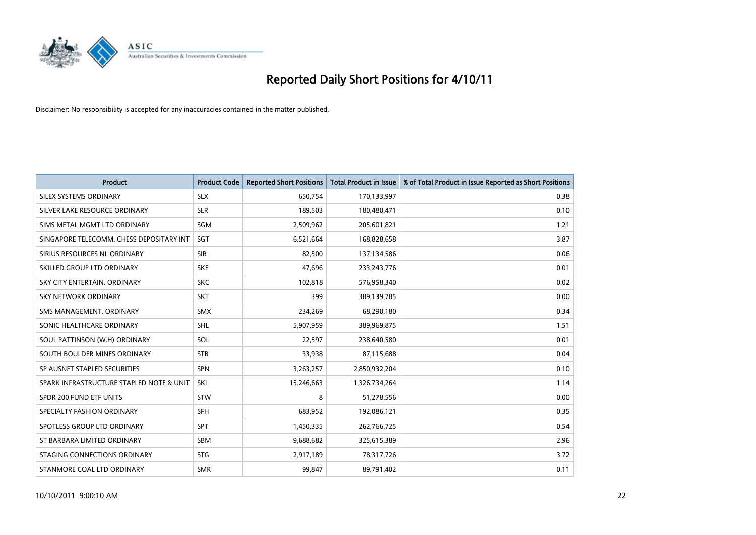

| <b>Product</b>                           | <b>Product Code</b> | <b>Reported Short Positions</b> | <b>Total Product in Issue</b> | % of Total Product in Issue Reported as Short Positions |
|------------------------------------------|---------------------|---------------------------------|-------------------------------|---------------------------------------------------------|
| SILEX SYSTEMS ORDINARY                   | <b>SLX</b>          | 650,754                         | 170,133,997                   | 0.38                                                    |
| SILVER LAKE RESOURCE ORDINARY            | <b>SLR</b>          | 189,503                         | 180,480,471                   | 0.10                                                    |
| SIMS METAL MGMT LTD ORDINARY             | SGM                 | 2,509,962                       | 205,601,821                   | 1.21                                                    |
| SINGAPORE TELECOMM. CHESS DEPOSITARY INT | <b>SGT</b>          | 6,521,664                       | 168,828,658                   | 3.87                                                    |
| SIRIUS RESOURCES NL ORDINARY             | <b>SIR</b>          | 82,500                          | 137,134,586                   | 0.06                                                    |
| SKILLED GROUP LTD ORDINARY               | <b>SKE</b>          | 47,696                          | 233, 243, 776                 | 0.01                                                    |
| SKY CITY ENTERTAIN, ORDINARY             | <b>SKC</b>          | 102,818                         | 576,958,340                   | 0.02                                                    |
| SKY NETWORK ORDINARY                     | <b>SKT</b>          | 399                             | 389,139,785                   | 0.00                                                    |
| SMS MANAGEMENT, ORDINARY                 | <b>SMX</b>          | 234,269                         | 68,290,180                    | 0.34                                                    |
| SONIC HEALTHCARE ORDINARY                | <b>SHL</b>          | 5,907,959                       | 389,969,875                   | 1.51                                                    |
| SOUL PATTINSON (W.H) ORDINARY            | SOL                 | 22,597                          | 238,640,580                   | 0.01                                                    |
| SOUTH BOULDER MINES ORDINARY             | <b>STB</b>          | 33,938                          | 87,115,688                    | 0.04                                                    |
| SP AUSNET STAPLED SECURITIES             | <b>SPN</b>          | 3,263,257                       | 2,850,932,204                 | 0.10                                                    |
| SPARK INFRASTRUCTURE STAPLED NOTE & UNIT | SKI                 | 15,246,663                      | 1,326,734,264                 | 1.14                                                    |
| SPDR 200 FUND ETF UNITS                  | <b>STW</b>          | 8                               | 51,278,556                    | 0.00                                                    |
| SPECIALTY FASHION ORDINARY               | <b>SFH</b>          | 683,952                         | 192,086,121                   | 0.35                                                    |
| SPOTLESS GROUP LTD ORDINARY              | <b>SPT</b>          | 1,450,335                       | 262,766,725                   | 0.54                                                    |
| ST BARBARA LIMITED ORDINARY              | <b>SBM</b>          | 9,688,682                       | 325,615,389                   | 2.96                                                    |
| STAGING CONNECTIONS ORDINARY             | <b>STG</b>          | 2,917,189                       | 78,317,726                    | 3.72                                                    |
| STANMORE COAL LTD ORDINARY               | <b>SMR</b>          | 99,847                          | 89,791,402                    | 0.11                                                    |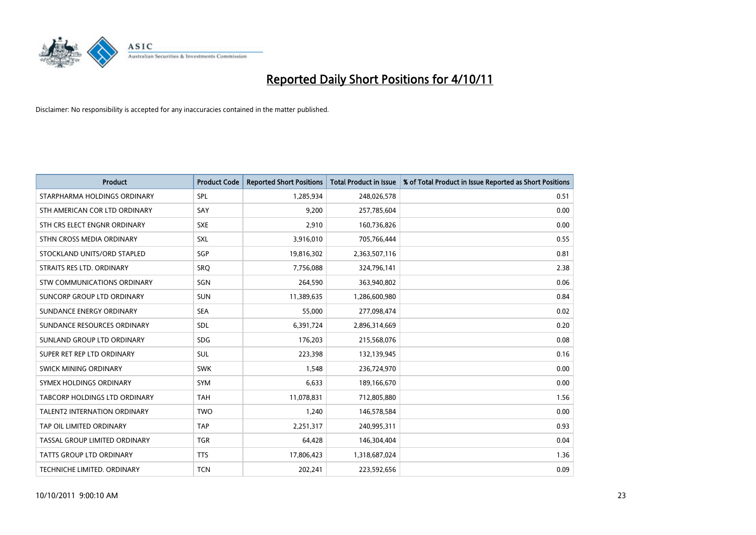

| <b>Product</b>                      | <b>Product Code</b> | <b>Reported Short Positions</b> | <b>Total Product in Issue</b> | % of Total Product in Issue Reported as Short Positions |
|-------------------------------------|---------------------|---------------------------------|-------------------------------|---------------------------------------------------------|
| STARPHARMA HOLDINGS ORDINARY        | SPL                 | 1,285,934                       | 248,026,578                   | 0.51                                                    |
| STH AMERICAN COR LTD ORDINARY       | SAY                 | 9,200                           | 257,785,604                   | 0.00                                                    |
| STH CRS ELECT ENGNR ORDINARY        | <b>SXE</b>          | 2,910                           | 160,736,826                   | 0.00                                                    |
| STHN CROSS MEDIA ORDINARY           | <b>SXL</b>          | 3,916,010                       | 705,766,444                   | 0.55                                                    |
| STOCKLAND UNITS/ORD STAPLED         | <b>SGP</b>          | 19,816,302                      | 2,363,507,116                 | 0.81                                                    |
| STRAITS RES LTD. ORDINARY           | SRO                 | 7,756,088                       | 324,796,141                   | 2.38                                                    |
| <b>STW COMMUNICATIONS ORDINARY</b>  | SGN                 | 264,590                         | 363,940,802                   | 0.06                                                    |
| SUNCORP GROUP LTD ORDINARY          | <b>SUN</b>          | 11,389,635                      | 1,286,600,980                 | 0.84                                                    |
| SUNDANCE ENERGY ORDINARY            | <b>SEA</b>          | 55,000                          | 277,098,474                   | 0.02                                                    |
| SUNDANCE RESOURCES ORDINARY         | <b>SDL</b>          | 6,391,724                       | 2,896,314,669                 | 0.20                                                    |
| SUNLAND GROUP LTD ORDINARY          | <b>SDG</b>          | 176,203                         | 215,568,076                   | 0.08                                                    |
| SUPER RET REP LTD ORDINARY          | <b>SUL</b>          | 223,398                         | 132,139,945                   | 0.16                                                    |
| <b>SWICK MINING ORDINARY</b>        | <b>SWK</b>          | 1,548                           | 236,724,970                   | 0.00                                                    |
| SYMEX HOLDINGS ORDINARY             | <b>SYM</b>          | 6,633                           | 189,166,670                   | 0.00                                                    |
| TABCORP HOLDINGS LTD ORDINARY       | <b>TAH</b>          | 11,078,831                      | 712,805,880                   | 1.56                                                    |
| <b>TALENT2 INTERNATION ORDINARY</b> | <b>TWO</b>          | 1,240                           | 146,578,584                   | 0.00                                                    |
| TAP OIL LIMITED ORDINARY            | <b>TAP</b>          | 2,251,317                       | 240,995,311                   | 0.93                                                    |
| TASSAL GROUP LIMITED ORDINARY       | <b>TGR</b>          | 64,428                          | 146,304,404                   | 0.04                                                    |
| <b>TATTS GROUP LTD ORDINARY</b>     | <b>TTS</b>          | 17,806,423                      | 1,318,687,024                 | 1.36                                                    |
| TECHNICHE LIMITED. ORDINARY         | <b>TCN</b>          | 202,241                         | 223,592,656                   | 0.09                                                    |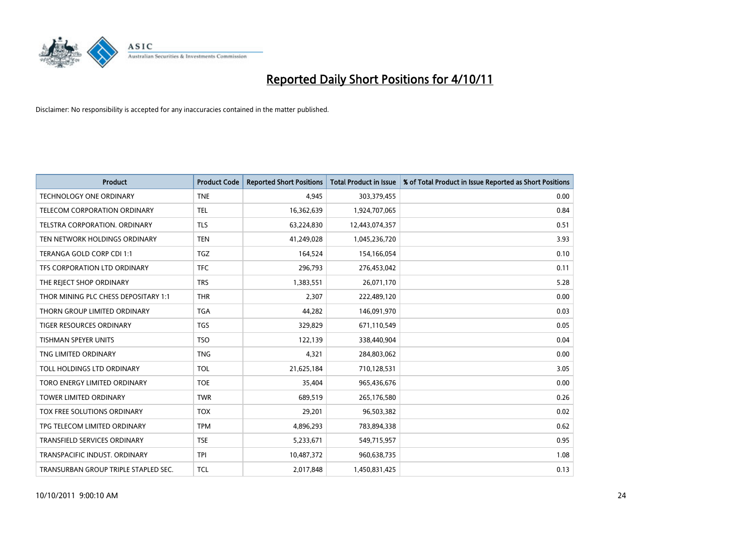

| <b>Product</b>                       | <b>Product Code</b> | <b>Reported Short Positions</b> | <b>Total Product in Issue</b> | % of Total Product in Issue Reported as Short Positions |
|--------------------------------------|---------------------|---------------------------------|-------------------------------|---------------------------------------------------------|
| <b>TECHNOLOGY ONE ORDINARY</b>       | <b>TNE</b>          | 4,945                           | 303,379,455                   | 0.00                                                    |
| <b>TELECOM CORPORATION ORDINARY</b>  | <b>TEL</b>          | 16,362,639                      | 1,924,707,065                 | 0.84                                                    |
| TELSTRA CORPORATION, ORDINARY        | <b>TLS</b>          | 63,224,830                      | 12,443,074,357                | 0.51                                                    |
| TEN NETWORK HOLDINGS ORDINARY        | <b>TEN</b>          | 41,249,028                      | 1,045,236,720                 | 3.93                                                    |
| TERANGA GOLD CORP CDI 1:1            | <b>TGZ</b>          | 164,524                         | 154,166,054                   | 0.10                                                    |
| TFS CORPORATION LTD ORDINARY         | <b>TFC</b>          | 296,793                         | 276,453,042                   | 0.11                                                    |
| THE REJECT SHOP ORDINARY             | <b>TRS</b>          | 1,383,551                       | 26,071,170                    | 5.28                                                    |
| THOR MINING PLC CHESS DEPOSITARY 1:1 | <b>THR</b>          | 2,307                           | 222,489,120                   | 0.00                                                    |
| THORN GROUP LIMITED ORDINARY         | <b>TGA</b>          | 44,282                          | 146,091,970                   | 0.03                                                    |
| <b>TIGER RESOURCES ORDINARY</b>      | <b>TGS</b>          | 329,829                         | 671,110,549                   | 0.05                                                    |
| <b>TISHMAN SPEYER UNITS</b>          | <b>TSO</b>          | 122,139                         | 338,440,904                   | 0.04                                                    |
| TNG LIMITED ORDINARY                 | <b>TNG</b>          | 4,321                           | 284,803,062                   | 0.00                                                    |
| TOLL HOLDINGS LTD ORDINARY           | <b>TOL</b>          | 21,625,184                      | 710,128,531                   | 3.05                                                    |
| TORO ENERGY LIMITED ORDINARY         | <b>TOE</b>          | 35.404                          | 965,436,676                   | 0.00                                                    |
| <b>TOWER LIMITED ORDINARY</b>        | <b>TWR</b>          | 689,519                         | 265,176,580                   | 0.26                                                    |
| TOX FREE SOLUTIONS ORDINARY          | <b>TOX</b>          | 29,201                          | 96,503,382                    | 0.02                                                    |
| TPG TELECOM LIMITED ORDINARY         | <b>TPM</b>          | 4,896,293                       | 783,894,338                   | 0.62                                                    |
| TRANSFIELD SERVICES ORDINARY         | <b>TSE</b>          | 5,233,671                       | 549,715,957                   | 0.95                                                    |
| TRANSPACIFIC INDUST, ORDINARY        | <b>TPI</b>          | 10,487,372                      | 960,638,735                   | 1.08                                                    |
| TRANSURBAN GROUP TRIPLE STAPLED SEC. | <b>TCL</b>          | 2,017,848                       | 1,450,831,425                 | 0.13                                                    |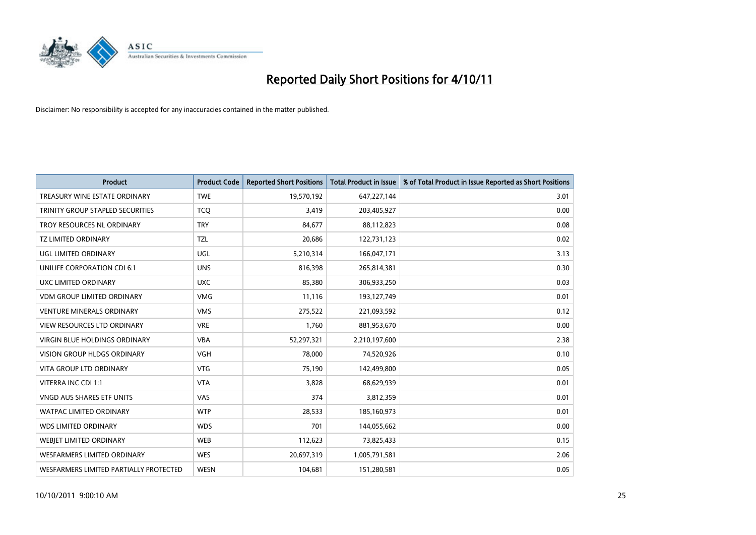

| <b>Product</b>                         | <b>Product Code</b> | <b>Reported Short Positions</b> | <b>Total Product in Issue</b> | % of Total Product in Issue Reported as Short Positions |
|----------------------------------------|---------------------|---------------------------------|-------------------------------|---------------------------------------------------------|
| TREASURY WINE ESTATE ORDINARY          | <b>TWE</b>          | 19,570,192                      | 647,227,144                   | 3.01                                                    |
| TRINITY GROUP STAPLED SECURITIES       | <b>TCO</b>          | 3,419                           | 203,405,927                   | 0.00                                                    |
| TROY RESOURCES NL ORDINARY             | <b>TRY</b>          | 84,677                          | 88,112,823                    | 0.08                                                    |
| <b>TZ LIMITED ORDINARY</b>             | <b>TZL</b>          | 20,686                          | 122,731,123                   | 0.02                                                    |
| UGL LIMITED ORDINARY                   | UGL                 | 5,210,314                       | 166,047,171                   | 3.13                                                    |
| UNILIFE CORPORATION CDI 6:1            | <b>UNS</b>          | 816,398                         | 265,814,381                   | 0.30                                                    |
| UXC LIMITED ORDINARY                   | <b>UXC</b>          | 85,380                          | 306,933,250                   | 0.03                                                    |
| <b>VDM GROUP LIMITED ORDINARY</b>      | <b>VMG</b>          | 11,116                          | 193,127,749                   | 0.01                                                    |
| <b>VENTURE MINERALS ORDINARY</b>       | <b>VMS</b>          | 275,522                         | 221,093,592                   | 0.12                                                    |
| <b>VIEW RESOURCES LTD ORDINARY</b>     | <b>VRE</b>          | 1,760                           | 881,953,670                   | 0.00                                                    |
| <b>VIRGIN BLUE HOLDINGS ORDINARY</b>   | <b>VBA</b>          | 52,297,321                      | 2,210,197,600                 | 2.38                                                    |
| VISION GROUP HLDGS ORDINARY            | <b>VGH</b>          | 78,000                          | 74,520,926                    | 0.10                                                    |
| <b>VITA GROUP LTD ORDINARY</b>         | <b>VTG</b>          | 75,190                          | 142,499,800                   | 0.05                                                    |
| VITERRA INC CDI 1:1                    | <b>VTA</b>          | 3,828                           | 68,629,939                    | 0.01                                                    |
| <b>VNGD AUS SHARES ETF UNITS</b>       | <b>VAS</b>          | 374                             | 3,812,359                     | 0.01                                                    |
| WATPAC LIMITED ORDINARY                | <b>WTP</b>          | 28,533                          | 185,160,973                   | 0.01                                                    |
| <b>WDS LIMITED ORDINARY</b>            | <b>WDS</b>          | 701                             | 144,055,662                   | 0.00                                                    |
| WEBJET LIMITED ORDINARY                | <b>WEB</b>          | 112,623                         | 73,825,433                    | 0.15                                                    |
| <b>WESFARMERS LIMITED ORDINARY</b>     | <b>WES</b>          | 20,697,319                      | 1,005,791,581                 | 2.06                                                    |
| WESFARMERS LIMITED PARTIALLY PROTECTED | <b>WESN</b>         | 104,681                         | 151,280,581                   | 0.05                                                    |